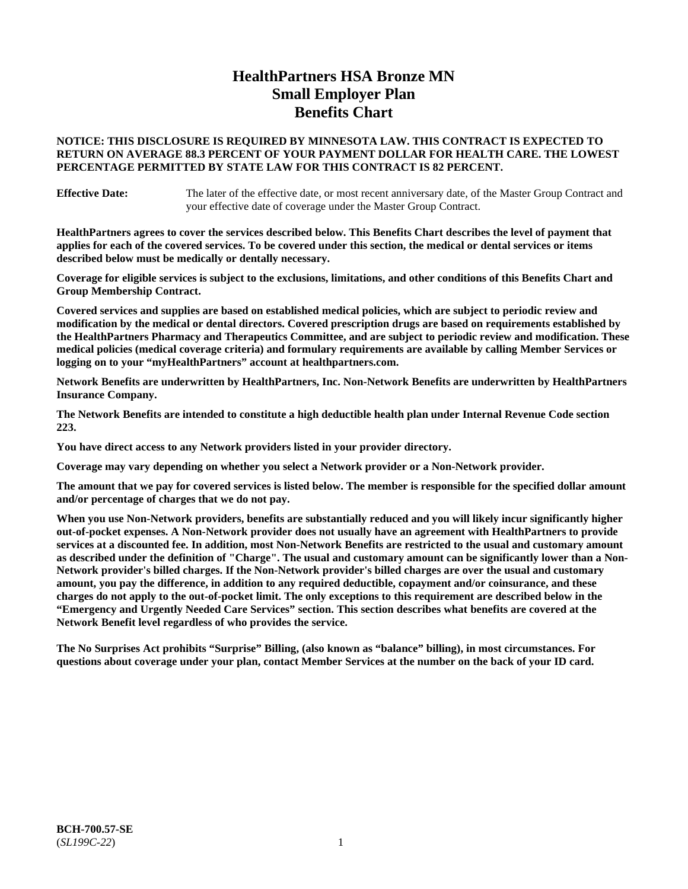# **HealthPartners HSA Bronze MN Small Employer Plan Benefits Chart**

### **NOTICE: THIS DISCLOSURE IS REQUIRED BY MINNESOTA LAW. THIS CONTRACT IS EXPECTED TO RETURN ON AVERAGE 88.3 PERCENT OF YOUR PAYMENT DOLLAR FOR HEALTH CARE. THE LOWEST PERCENTAGE PERMITTED BY STATE LAW FOR THIS CONTRACT IS 82 PERCENT.**

**Effective Date:** The later of the effective date, or most recent anniversary date, of the Master Group Contract and your effective date of coverage under the Master Group Contract.

**HealthPartners agrees to cover the services described below. This Benefits Chart describes the level of payment that applies for each of the covered services. To be covered under this section, the medical or dental services or items described below must be medically or dentally necessary.**

**Coverage for eligible services is subject to the exclusions, limitations, and other conditions of this Benefits Chart and Group Membership Contract.**

**Covered services and supplies are based on established medical policies, which are subject to periodic review and modification by the medical or dental directors. Covered prescription drugs are based on requirements established by the HealthPartners Pharmacy and Therapeutics Committee, and are subject to periodic review and modification. These medical policies (medical coverage criteria) and formulary requirements are available by calling Member Services or logging on to your "myHealthPartners" account at [healthpartners.com.](https://www.healthpartners.com/hp/index.html)**

**Network Benefits are underwritten by HealthPartners, Inc. Non-Network Benefits are underwritten by HealthPartners Insurance Company.** 

**The Network Benefits are intended to constitute a high deductible health plan under Internal Revenue Code section 223.** 

**You have direct access to any Network providers listed in your provider directory.**

**Coverage may vary depending on whether you select a Network provider or a Non-Network provider.**

**The amount that we pay for covered services is listed below. The member is responsible for the specified dollar amount and/or percentage of charges that we do not pay.**

**When you use Non-Network providers, benefits are substantially reduced and you will likely incur significantly higher out-of-pocket expenses. A Non-Network provider does not usually have an agreement with HealthPartners to provide services at a discounted fee. In addition, most Non-Network Benefits are restricted to the usual and customary amount as described under the definition of "Charge". The usual and customary amount can be significantly lower than a Non-Network provider's billed charges. If the Non-Network provider's billed charges are over the usual and customary amount, you pay the difference, in addition to any required deductible, copayment and/or coinsurance, and these charges do not apply to the out-of-pocket limit. The only exceptions to this requirement are described below in the "Emergency and Urgently Needed Care Services" section. This section describes what benefits are covered at the Network Benefit level regardless of who provides the service.**

**The No Surprises Act prohibits "Surprise" Billing, (also known as "balance" billing), in most circumstances. For questions about coverage under your plan, contact Member Services at the number on the back of your ID card.**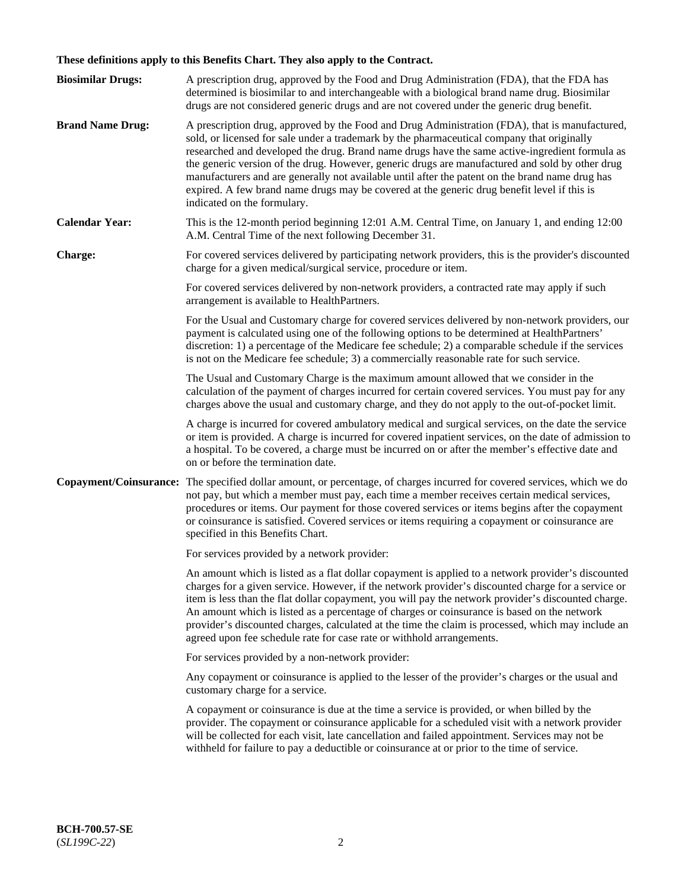# **These definitions apply to this Benefits Chart. They also apply to the Contract.**

| <b>Biosimilar Drugs:</b> | A prescription drug, approved by the Food and Drug Administration (FDA), that the FDA has<br>determined is biosimilar to and interchangeable with a biological brand name drug. Biosimilar<br>drugs are not considered generic drugs and are not covered under the generic drug benefit.                                                                                                                                                                                                                                                                                                                                           |
|--------------------------|------------------------------------------------------------------------------------------------------------------------------------------------------------------------------------------------------------------------------------------------------------------------------------------------------------------------------------------------------------------------------------------------------------------------------------------------------------------------------------------------------------------------------------------------------------------------------------------------------------------------------------|
| <b>Brand Name Drug:</b>  | A prescription drug, approved by the Food and Drug Administration (FDA), that is manufactured,<br>sold, or licensed for sale under a trademark by the pharmaceutical company that originally<br>researched and developed the drug. Brand name drugs have the same active-ingredient formula as<br>the generic version of the drug. However, generic drugs are manufactured and sold by other drug<br>manufacturers and are generally not available until after the patent on the brand name drug has<br>expired. A few brand name drugs may be covered at the generic drug benefit level if this is<br>indicated on the formulary. |
| <b>Calendar Year:</b>    | This is the 12-month period beginning 12:01 A.M. Central Time, on January 1, and ending 12:00<br>A.M. Central Time of the next following December 31.                                                                                                                                                                                                                                                                                                                                                                                                                                                                              |
| <b>Charge:</b>           | For covered services delivered by participating network providers, this is the provider's discounted<br>charge for a given medical/surgical service, procedure or item.                                                                                                                                                                                                                                                                                                                                                                                                                                                            |
|                          | For covered services delivered by non-network providers, a contracted rate may apply if such<br>arrangement is available to HealthPartners.                                                                                                                                                                                                                                                                                                                                                                                                                                                                                        |
|                          | For the Usual and Customary charge for covered services delivered by non-network providers, our<br>payment is calculated using one of the following options to be determined at HealthPartners'<br>discretion: 1) a percentage of the Medicare fee schedule; 2) a comparable schedule if the services<br>is not on the Medicare fee schedule; 3) a commercially reasonable rate for such service.                                                                                                                                                                                                                                  |
|                          | The Usual and Customary Charge is the maximum amount allowed that we consider in the<br>calculation of the payment of charges incurred for certain covered services. You must pay for any<br>charges above the usual and customary charge, and they do not apply to the out-of-pocket limit.                                                                                                                                                                                                                                                                                                                                       |
|                          | A charge is incurred for covered ambulatory medical and surgical services, on the date the service<br>or item is provided. A charge is incurred for covered inpatient services, on the date of admission to<br>a hospital. To be covered, a charge must be incurred on or after the member's effective date and<br>on or before the termination date.                                                                                                                                                                                                                                                                              |
| Copayment/Coinsurance:   | The specified dollar amount, or percentage, of charges incurred for covered services, which we do<br>not pay, but which a member must pay, each time a member receives certain medical services,<br>procedures or items. Our payment for those covered services or items begins after the copayment<br>or coinsurance is satisfied. Covered services or items requiring a copayment or coinsurance are<br>specified in this Benefits Chart.                                                                                                                                                                                        |
|                          | For services provided by a network provider:                                                                                                                                                                                                                                                                                                                                                                                                                                                                                                                                                                                       |
|                          | An amount which is listed as a flat dollar copayment is applied to a network provider's discounted<br>charges for a given service. However, if the network provider's discounted charge for a service or<br>item is less than the flat dollar copayment, you will pay the network provider's discounted charge.<br>An amount which is listed as a percentage of charges or coinsurance is based on the network<br>provider's discounted charges, calculated at the time the claim is processed, which may include an<br>agreed upon fee schedule rate for case rate or withhold arrangements.                                      |
|                          | For services provided by a non-network provider:                                                                                                                                                                                                                                                                                                                                                                                                                                                                                                                                                                                   |
|                          | Any copayment or coinsurance is applied to the lesser of the provider's charges or the usual and<br>customary charge for a service.                                                                                                                                                                                                                                                                                                                                                                                                                                                                                                |
|                          | A copayment or coinsurance is due at the time a service is provided, or when billed by the<br>provider. The copayment or coinsurance applicable for a scheduled visit with a network provider<br>will be collected for each visit, late cancellation and failed appointment. Services may not be<br>withheld for failure to pay a deductible or coinsurance at or prior to the time of service.                                                                                                                                                                                                                                    |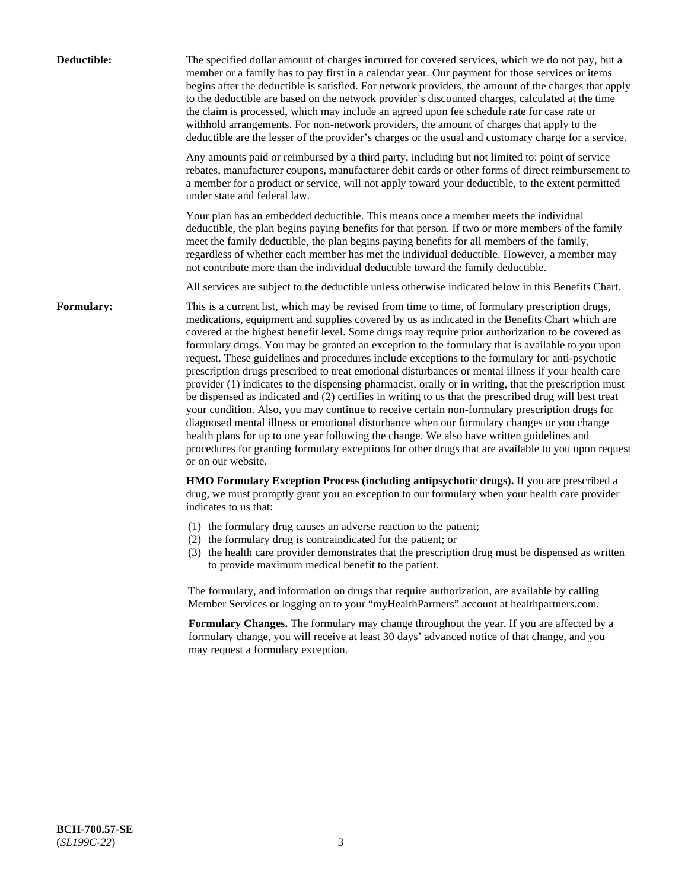| Deductible: | The specified dollar amount of charges incurred for covered services, which we do not pay, but a<br>member or a family has to pay first in a calendar year. Our payment for those services or items<br>begins after the deductible is satisfied. For network providers, the amount of the charges that apply<br>to the deductible are based on the network provider's discounted charges, calculated at the time<br>the claim is processed, which may include an agreed upon fee schedule rate for case rate or<br>withhold arrangements. For non-network providers, the amount of charges that apply to the<br>deductible are the lesser of the provider's charges or the usual and customary charge for a service.                                                                                                                                                                                                                                                                                                                                                                                                                                                                                                                                             |
|-------------|------------------------------------------------------------------------------------------------------------------------------------------------------------------------------------------------------------------------------------------------------------------------------------------------------------------------------------------------------------------------------------------------------------------------------------------------------------------------------------------------------------------------------------------------------------------------------------------------------------------------------------------------------------------------------------------------------------------------------------------------------------------------------------------------------------------------------------------------------------------------------------------------------------------------------------------------------------------------------------------------------------------------------------------------------------------------------------------------------------------------------------------------------------------------------------------------------------------------------------------------------------------|
|             | Any amounts paid or reimbursed by a third party, including but not limited to: point of service<br>rebates, manufacturer coupons, manufacturer debit cards or other forms of direct reimbursement to<br>a member for a product or service, will not apply toward your deductible, to the extent permitted<br>under state and federal law.                                                                                                                                                                                                                                                                                                                                                                                                                                                                                                                                                                                                                                                                                                                                                                                                                                                                                                                        |
|             | Your plan has an embedded deductible. This means once a member meets the individual<br>deductible, the plan begins paying benefits for that person. If two or more members of the family<br>meet the family deductible, the plan begins paying benefits for all members of the family,<br>regardless of whether each member has met the individual deductible. However, a member may<br>not contribute more than the individual deductible toward the family deductible.                                                                                                                                                                                                                                                                                                                                                                                                                                                                                                                                                                                                                                                                                                                                                                                         |
|             | All services are subject to the deductible unless otherwise indicated below in this Benefits Chart.                                                                                                                                                                                                                                                                                                                                                                                                                                                                                                                                                                                                                                                                                                                                                                                                                                                                                                                                                                                                                                                                                                                                                              |
| Formulary:  | This is a current list, which may be revised from time to time, of formulary prescription drugs,<br>medications, equipment and supplies covered by us as indicated in the Benefits Chart which are<br>covered at the highest benefit level. Some drugs may require prior authorization to be covered as<br>formulary drugs. You may be granted an exception to the formulary that is available to you upon<br>request. These guidelines and procedures include exceptions to the formulary for anti-psychotic<br>prescription drugs prescribed to treat emotional disturbances or mental illness if your health care<br>provider (1) indicates to the dispensing pharmacist, orally or in writing, that the prescription must<br>be dispensed as indicated and (2) certifies in writing to us that the prescribed drug will best treat<br>your condition. Also, you may continue to receive certain non-formulary prescription drugs for<br>diagnosed mental illness or emotional disturbance when our formulary changes or you change<br>health plans for up to one year following the change. We also have written guidelines and<br>procedures for granting formulary exceptions for other drugs that are available to you upon request<br>or on our website. |
|             | HMO Formulary Exception Process (including antipsychotic drugs). If you are prescribed a<br>drug, we must promptly grant you an exception to our formulary when your health care provider<br>indicates to us that:                                                                                                                                                                                                                                                                                                                                                                                                                                                                                                                                                                                                                                                                                                                                                                                                                                                                                                                                                                                                                                               |
|             | (1) the formulary drug causes an adverse reaction to the patient;<br>(2) the formulary drug is contraindicated for the patient; or<br>(3) the health care provider demonstrates that the prescription drug must be dispensed as written<br>to provide maximum medical benefit to the patient.                                                                                                                                                                                                                                                                                                                                                                                                                                                                                                                                                                                                                                                                                                                                                                                                                                                                                                                                                                    |
|             | The formulary, and information on drugs that require authorization, are available by calling<br>Member Services or logging on to your "myHealthPartners" account at healthpartners.com.                                                                                                                                                                                                                                                                                                                                                                                                                                                                                                                                                                                                                                                                                                                                                                                                                                                                                                                                                                                                                                                                          |
|             | Formulary Changes. The formulary may change throughout the year. If you are affected by a<br>formulary change, you will receive at least 30 days' advanced notice of that change, and you<br>may request a formulary exception.                                                                                                                                                                                                                                                                                                                                                                                                                                                                                                                                                                                                                                                                                                                                                                                                                                                                                                                                                                                                                                  |
|             |                                                                                                                                                                                                                                                                                                                                                                                                                                                                                                                                                                                                                                                                                                                                                                                                                                                                                                                                                                                                                                                                                                                                                                                                                                                                  |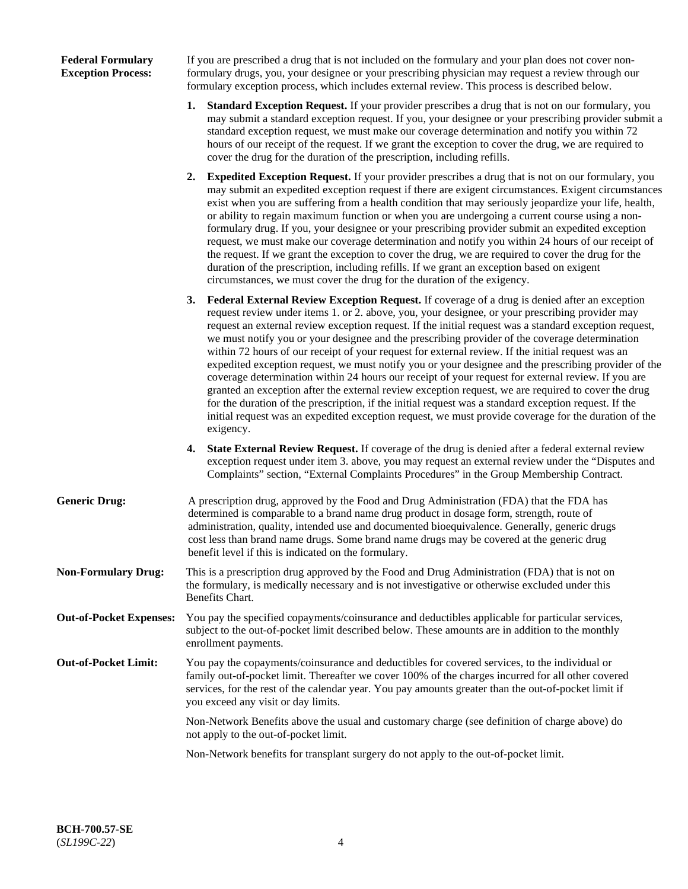### **Federal Formulary Exception Process:**

If you are prescribed a drug that is not included on the formulary and your plan does not cover nonformulary drugs, you, your designee or your prescribing physician may request a review through our formulary exception process, which includes external review. This process is described below.

- **1. Standard Exception Request.** If your provider prescribes a drug that is not on our formulary, you may submit a standard exception request. If you, your designee or your prescribing provider submit a standard exception request, we must make our coverage determination and notify you within 72 hours of our receipt of the request. If we grant the exception to cover the drug, we are required to cover the drug for the duration of the prescription, including refills.
- **2. Expedited Exception Request.** If your provider prescribes a drug that is not on our formulary, you may submit an expedited exception request if there are exigent circumstances. Exigent circumstances exist when you are suffering from a health condition that may seriously jeopardize your life, health, or ability to regain maximum function or when you are undergoing a current course using a nonformulary drug. If you, your designee or your prescribing provider submit an expedited exception request, we must make our coverage determination and notify you within 24 hours of our receipt of the request. If we grant the exception to cover the drug, we are required to cover the drug for the duration of the prescription, including refills. If we grant an exception based on exigent circumstances, we must cover the drug for the duration of the exigency.
- **3. Federal External Review Exception Request.** If coverage of a drug is denied after an exception request review under items 1. or 2. above, you, your designee, or your prescribing provider may request an external review exception request. If the initial request was a standard exception request, we must notify you or your designee and the prescribing provider of the coverage determination within 72 hours of our receipt of your request for external review. If the initial request was an expedited exception request, we must notify you or your designee and the prescribing provider of the coverage determination within 24 hours our receipt of your request for external review. If you are granted an exception after the external review exception request, we are required to cover the drug for the duration of the prescription, if the initial request was a standard exception request. If the initial request was an expedited exception request, we must provide coverage for the duration of the exigency.
- **4. State External Review Request.** If coverage of the drug is denied after a federal external review exception request under item 3. above, you may request an external review under the "Disputes and Complaints" section, "External Complaints Procedures" in the Group Membership Contract.
- **Generic Drug:** A prescription drug, approved by the Food and Drug Administration (FDA) that the FDA has determined is comparable to a brand name drug product in dosage form, strength, route of administration, quality, intended use and documented bioequivalence. Generally, generic drugs cost less than brand name drugs. Some brand name drugs may be covered at the generic drug benefit level if this is indicated on the formulary.
- **Non-Formulary Drug:** This is a prescription drug approved by the Food and Drug Administration (FDA) that is not on the formulary, is medically necessary and is not investigative or otherwise excluded under this Benefits Chart.
- **Out-of-Pocket Expenses:** You pay the specified copayments/coinsurance and deductibles applicable for particular services, subject to the out-of-pocket limit described below. These amounts are in addition to the monthly enrollment payments.
- **Out-of-Pocket Limit:** You pay the copayments/coinsurance and deductibles for covered services, to the individual or family out-of-pocket limit. Thereafter we cover 100% of the charges incurred for all other covered services, for the rest of the calendar year. You pay amounts greater than the out-of-pocket limit if you exceed any visit or day limits.

Non-Network Benefits above the usual and customary charge (see definition of charge above) do not apply to the out-of-pocket limit.

Non-Network benefits for transplant surgery do not apply to the out-of-pocket limit.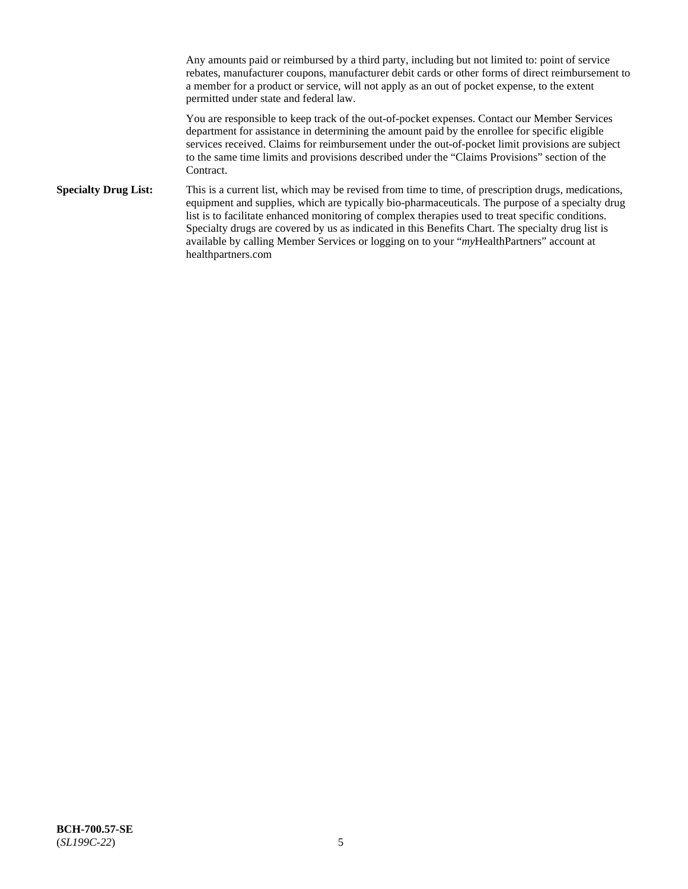Any amounts paid or reimbursed by a third party, including but not limited to: point of service rebates, manufacturer coupons, manufacturer debit cards or other forms of direct reimbursement to a member for a product or service, will not apply as an out of pocket expense, to the extent permitted under state and federal law.

You are responsible to keep track of the out-of-pocket expenses. Contact our Member Services department for assistance in determining the amount paid by the enrollee for specific eligible services received. Claims for reimbursement under the out-of-pocket limit provisions are subject to the same time limits and provisions described under the "Claims Provisions" section of the Contract.

**Specialty Drug List:** This is a current list, which may be revised from time to time, of prescription drugs, medications, equipment and supplies, which are typically bio-pharmaceuticals. The purpose of a specialty drug list is to facilitate enhanced monitoring of complex therapies used to treat specific conditions. Specialty drugs are covered by us as indicated in this Benefits Chart. The specialty drug list is available by calling Member Services or logging on to your "*my*HealthPartners" account at [healthpartners.com](https://www.healthpartners.com/hp/index.html)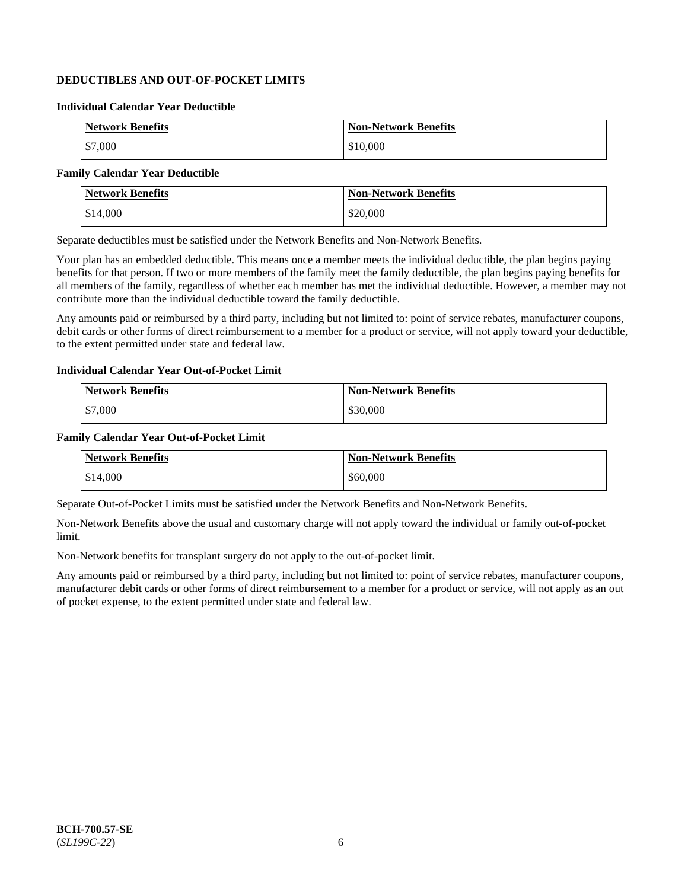# **DEDUCTIBLES AND OUT-OF-POCKET LIMITS**

### **Individual Calendar Year Deductible**

| <b>Network Benefits</b> | <b>Non-Network Benefits</b> |
|-------------------------|-----------------------------|
| \$7,000                 | \$10,000                    |

### **Family Calendar Year Deductible**

| <b>Network Benefits</b> | <b>Non-Network Benefits</b> |
|-------------------------|-----------------------------|
| \$14,000                | \$20,000                    |

Separate deductibles must be satisfied under the Network Benefits and Non-Network Benefits.

Your plan has an embedded deductible. This means once a member meets the individual deductible, the plan begins paying benefits for that person. If two or more members of the family meet the family deductible, the plan begins paying benefits for all members of the family, regardless of whether each member has met the individual deductible. However, a member may not contribute more than the individual deductible toward the family deductible.

Any amounts paid or reimbursed by a third party, including but not limited to: point of service rebates, manufacturer coupons, debit cards or other forms of direct reimbursement to a member for a product or service, will not apply toward your deductible, to the extent permitted under state and federal law.

### **Individual Calendar Year Out-of-Pocket Limit**

| <b>Network Benefits</b> | <b>Non-Network Benefits</b> |
|-------------------------|-----------------------------|
| \$7,000                 | \$30,000                    |

### **Family Calendar Year Out-of-Pocket Limit**

| <b>Network Benefits</b> | <b>Non-Network Benefits</b> |
|-------------------------|-----------------------------|
| \$14,000                | \$60,000                    |

Separate Out-of-Pocket Limits must be satisfied under the Network Benefits and Non-Network Benefits.

Non-Network Benefits above the usual and customary charge will not apply toward the individual or family out-of-pocket limit.

Non-Network benefits for transplant surgery do not apply to the out-of-pocket limit.

Any amounts paid or reimbursed by a third party, including but not limited to: point of service rebates, manufacturer coupons, manufacturer debit cards or other forms of direct reimbursement to a member for a product or service, will not apply as an out of pocket expense, to the extent permitted under state and federal law.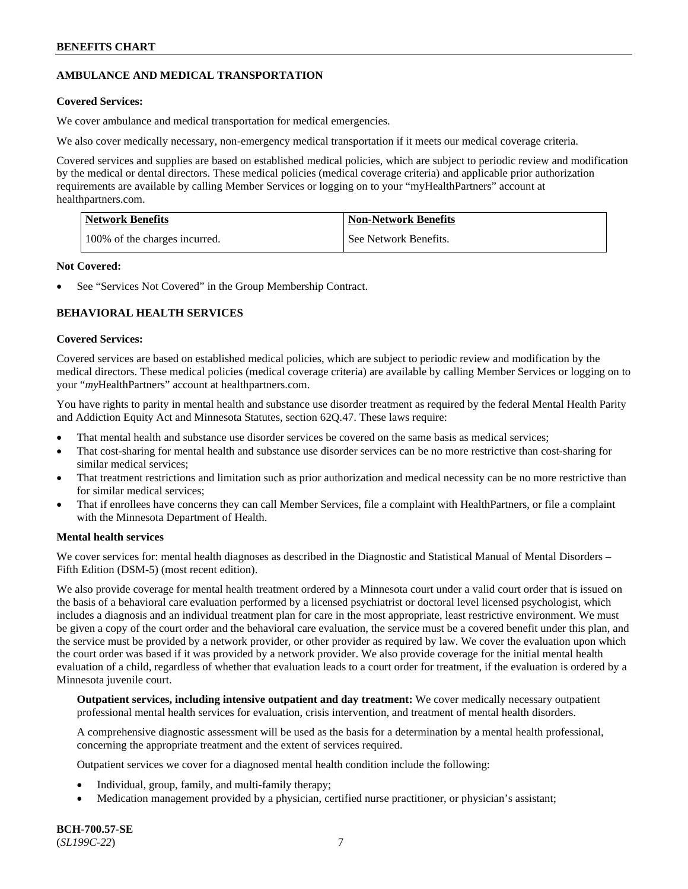# **AMBULANCE AND MEDICAL TRANSPORTATION**

### **Covered Services:**

We cover ambulance and medical transportation for medical emergencies.

We also cover medically necessary, non-emergency medical transportation if it meets our medical coverage criteria.

Covered services and supplies are based on established medical policies, which are subject to periodic review and modification by the medical or dental directors. These medical policies (medical coverage criteria) and applicable prior authorization requirements are available by calling Member Services or logging on to your "myHealthPartners" account at [healthpartners.com.](https://www.healthpartners.com/hp/index.html)

| Network Benefits              | <b>Non-Network Benefits</b> |
|-------------------------------|-----------------------------|
| 100% of the charges incurred. | See Network Benefits.       |

### **Not Covered:**

See "Services Not Covered" in the Group Membership Contract.

# **BEHAVIORAL HEALTH SERVICES**

### **Covered Services:**

Covered services are based on established medical policies, which are subject to periodic review and modification by the medical directors. These medical policies (medical coverage criteria) are available by calling Member Services or logging on to your "*my*HealthPartners" account at [healthpartners.com.](http://www.healthpartners.com/)

You have rights to parity in mental health and substance use disorder treatment as required by the federal Mental Health Parity and Addiction Equity Act and Minnesota Statutes, section 62Q.47. These laws require:

- That mental health and substance use disorder services be covered on the same basis as medical services;
- That cost-sharing for mental health and substance use disorder services can be no more restrictive than cost-sharing for similar medical services;
- That treatment restrictions and limitation such as prior authorization and medical necessity can be no more restrictive than for similar medical services;
- That if enrollees have concerns they can call Member Services, file a complaint with HealthPartners, or file a complaint with the Minnesota Department of Health.

### **Mental health services**

We cover services for: mental health diagnoses as described in the Diagnostic and Statistical Manual of Mental Disorders – Fifth Edition (DSM-5) (most recent edition).

We also provide coverage for mental health treatment ordered by a Minnesota court under a valid court order that is issued on the basis of a behavioral care evaluation performed by a licensed psychiatrist or doctoral level licensed psychologist, which includes a diagnosis and an individual treatment plan for care in the most appropriate, least restrictive environment. We must be given a copy of the court order and the behavioral care evaluation, the service must be a covered benefit under this plan, and the service must be provided by a network provider, or other provider as required by law. We cover the evaluation upon which the court order was based if it was provided by a network provider. We also provide coverage for the initial mental health evaluation of a child, regardless of whether that evaluation leads to a court order for treatment, if the evaluation is ordered by a Minnesota juvenile court.

**Outpatient services, including intensive outpatient and day treatment:** We cover medically necessary outpatient professional mental health services for evaluation, crisis intervention, and treatment of mental health disorders.

A comprehensive diagnostic assessment will be used as the basis for a determination by a mental health professional, concerning the appropriate treatment and the extent of services required.

Outpatient services we cover for a diagnosed mental health condition include the following:

- Individual, group, family, and multi-family therapy;
- Medication management provided by a physician, certified nurse practitioner, or physician's assistant;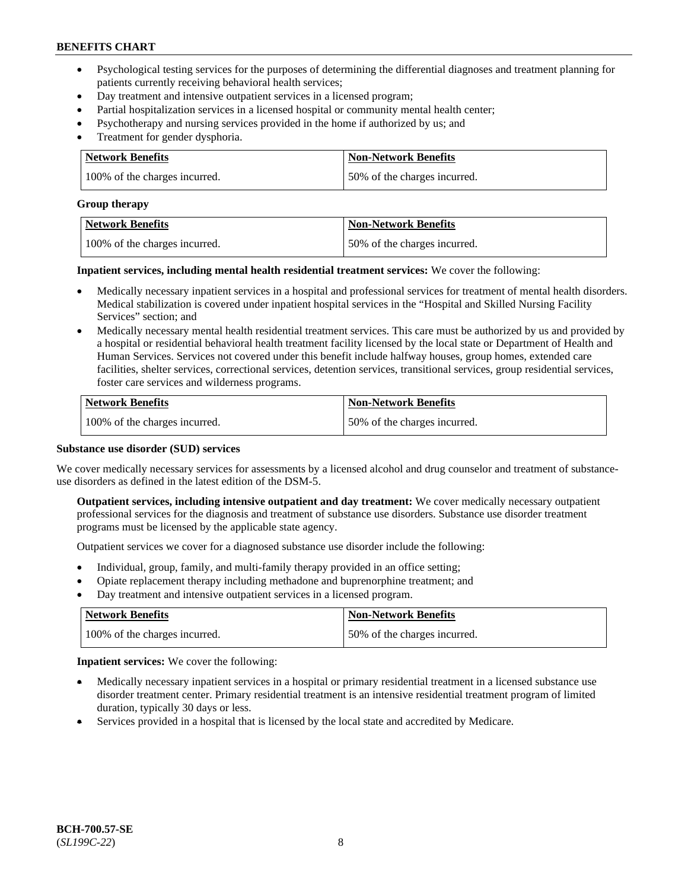- Psychological testing services for the purposes of determining the differential diagnoses and treatment planning for patients currently receiving behavioral health services;
- Day treatment and intensive outpatient services in a licensed program;
- Partial hospitalization services in a licensed hospital or community mental health center;
- Psychotherapy and nursing services provided in the home if authorized by us; and
- Treatment for gender dysphoria.

| Network Benefits              | <b>Non-Network Benefits</b>  |
|-------------------------------|------------------------------|
| 100% of the charges incurred. | 50% of the charges incurred. |

#### **Group therapy**

| Network Benefits              | <b>Non-Network Benefits</b>  |
|-------------------------------|------------------------------|
| 100% of the charges incurred. | 50% of the charges incurred. |

**Inpatient services, including mental health residential treatment services:** We cover the following:

- Medically necessary inpatient services in a hospital and professional services for treatment of mental health disorders. Medical stabilization is covered under inpatient hospital services in the "Hospital and Skilled Nursing Facility Services" section; and
- Medically necessary mental health residential treatment services. This care must be authorized by us and provided by a hospital or residential behavioral health treatment facility licensed by the local state or Department of Health and Human Services. Services not covered under this benefit include halfway houses, group homes, extended care facilities, shelter services, correctional services, detention services, transitional services, group residential services, foster care services and wilderness programs.

| Network Benefits              | <b>Non-Network Benefits</b>  |
|-------------------------------|------------------------------|
| 100% of the charges incurred. | 50% of the charges incurred. |

### **Substance use disorder (SUD) services**

We cover medically necessary services for assessments by a licensed alcohol and drug counselor and treatment of substanceuse disorders as defined in the latest edition of the DSM-5.

**Outpatient services, including intensive outpatient and day treatment:** We cover medically necessary outpatient professional services for the diagnosis and treatment of substance use disorders. Substance use disorder treatment programs must be licensed by the applicable state agency.

Outpatient services we cover for a diagnosed substance use disorder include the following:

- Individual, group, family, and multi-family therapy provided in an office setting;
- Opiate replacement therapy including methadone and buprenorphine treatment; and
- Day treatment and intensive outpatient services in a licensed program.

| Network Benefits              | <b>Non-Network Benefits</b>  |
|-------------------------------|------------------------------|
| 100% of the charges incurred. | 50% of the charges incurred. |

**Inpatient services:** We cover the following:

- Medically necessary inpatient services in a hospital or primary residential treatment in a licensed substance use disorder treatment center. Primary residential treatment is an intensive residential treatment program of limited duration, typically 30 days or less.
- Services provided in a hospital that is licensed by the local state and accredited by Medicare.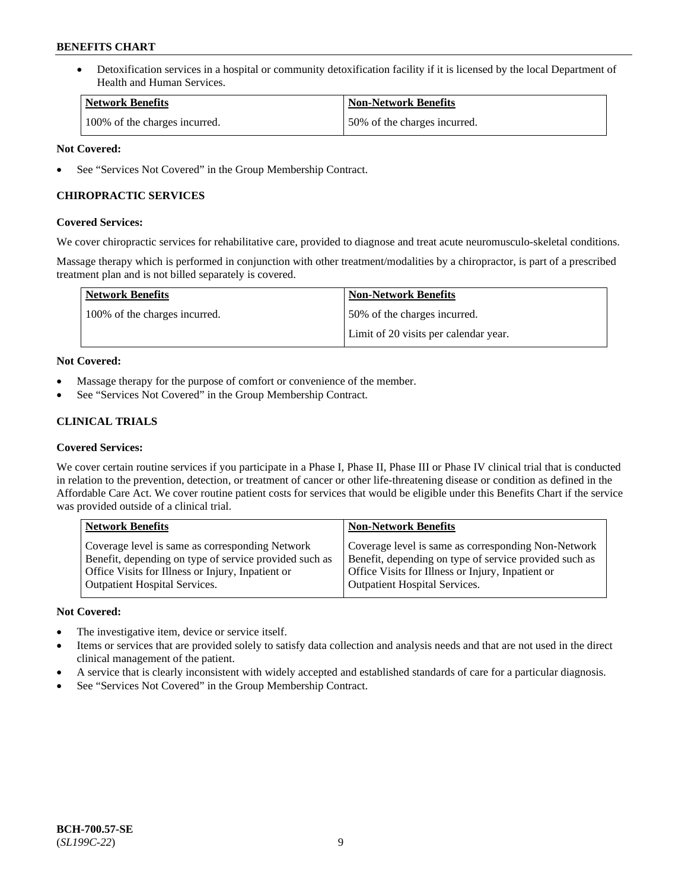• Detoxification services in a hospital or community detoxification facility if it is licensed by the local Department of Health and Human Services.

| <b>Network Benefits</b>       | <b>Non-Network Benefits</b>  |
|-------------------------------|------------------------------|
| 100% of the charges incurred. | 50% of the charges incurred. |

### **Not Covered:**

See "Services Not Covered" in the Group Membership Contract.

### **CHIROPRACTIC SERVICES**

### **Covered Services:**

We cover chiropractic services for rehabilitative care, provided to diagnose and treat acute neuromusculo-skeletal conditions.

Massage therapy which is performed in conjunction with other treatment/modalities by a chiropractor, is part of a prescribed treatment plan and is not billed separately is covered.

| <b>Network Benefits</b>       | <b>Non-Network Benefits</b>           |
|-------------------------------|---------------------------------------|
| 100% of the charges incurred. | 50% of the charges incurred.          |
|                               | Limit of 20 visits per calendar year. |

### **Not Covered:**

- Massage therapy for the purpose of comfort or convenience of the member.
- See "Services Not Covered" in the Group Membership Contract.

# **CLINICAL TRIALS**

### **Covered Services:**

We cover certain routine services if you participate in a Phase I, Phase II, Phase III or Phase IV clinical trial that is conducted in relation to the prevention, detection, or treatment of cancer or other life-threatening disease or condition as defined in the Affordable Care Act. We cover routine patient costs for services that would be eligible under this Benefits Chart if the service was provided outside of a clinical trial.

| <b>Network Benefits</b>                                | <b>Non-Network Benefits</b>                            |
|--------------------------------------------------------|--------------------------------------------------------|
| Coverage level is same as corresponding Network        | Coverage level is same as corresponding Non-Network    |
| Benefit, depending on type of service provided such as | Benefit, depending on type of service provided such as |
| Office Visits for Illness or Injury, Inpatient or      | Office Visits for Illness or Injury, Inpatient or      |
| <b>Outpatient Hospital Services.</b>                   | Outpatient Hospital Services.                          |

### **Not Covered:**

- The investigative item, device or service itself.
- Items or services that are provided solely to satisfy data collection and analysis needs and that are not used in the direct clinical management of the patient.
- A service that is clearly inconsistent with widely accepted and established standards of care for a particular diagnosis.
- See "Services Not Covered" in the Group Membership Contract.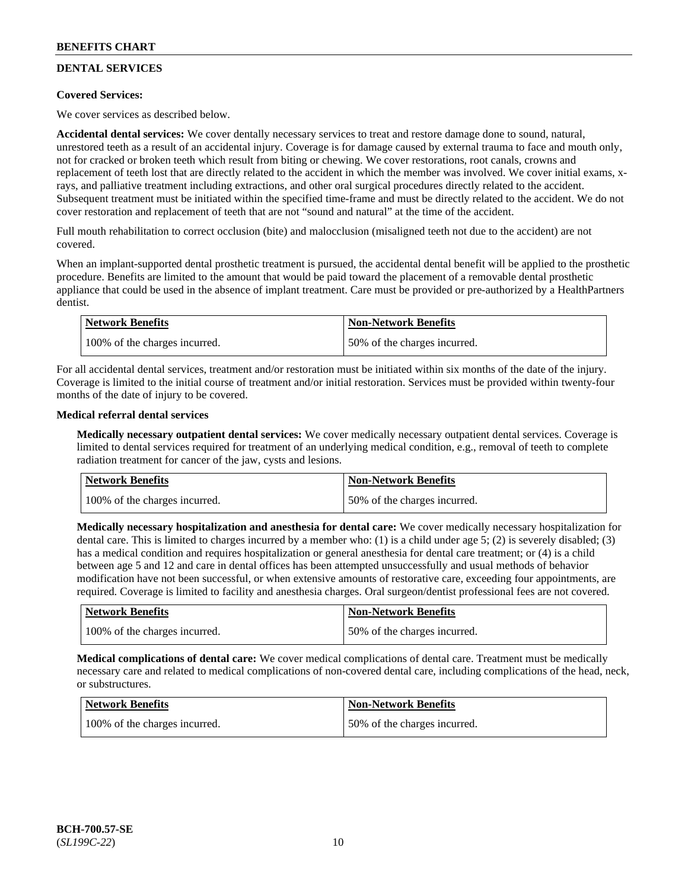# **DENTAL SERVICES**

### **Covered Services:**

We cover services as described below.

**Accidental dental services:** We cover dentally necessary services to treat and restore damage done to sound, natural, unrestored teeth as a result of an accidental injury. Coverage is for damage caused by external trauma to face and mouth only, not for cracked or broken teeth which result from biting or chewing. We cover restorations, root canals, crowns and replacement of teeth lost that are directly related to the accident in which the member was involved. We cover initial exams, xrays, and palliative treatment including extractions, and other oral surgical procedures directly related to the accident. Subsequent treatment must be initiated within the specified time-frame and must be directly related to the accident. We do not cover restoration and replacement of teeth that are not "sound and natural" at the time of the accident.

Full mouth rehabilitation to correct occlusion (bite) and malocclusion (misaligned teeth not due to the accident) are not covered.

When an implant-supported dental prosthetic treatment is pursued, the accidental dental benefit will be applied to the prosthetic procedure. Benefits are limited to the amount that would be paid toward the placement of a removable dental prosthetic appliance that could be used in the absence of implant treatment. Care must be provided or pre-authorized by a HealthPartners dentist.

| Network Benefits              | <b>Non-Network Benefits</b>  |
|-------------------------------|------------------------------|
| 100% of the charges incurred. | 50% of the charges incurred. |

For all accidental dental services, treatment and/or restoration must be initiated within six months of the date of the injury. Coverage is limited to the initial course of treatment and/or initial restoration. Services must be provided within twenty-four months of the date of injury to be covered.

### **Medical referral dental services**

**Medically necessary outpatient dental services:** We cover medically necessary outpatient dental services. Coverage is limited to dental services required for treatment of an underlying medical condition, e.g., removal of teeth to complete radiation treatment for cancer of the jaw, cysts and lesions.

| Network Benefits              | <b>Non-Network Benefits</b>  |
|-------------------------------|------------------------------|
| 100% of the charges incurred. | 50% of the charges incurred. |

**Medically necessary hospitalization and anesthesia for dental care:** We cover medically necessary hospitalization for dental care. This is limited to charges incurred by a member who: (1) is a child under age 5; (2) is severely disabled; (3) has a medical condition and requires hospitalization or general anesthesia for dental care treatment; or (4) is a child between age 5 and 12 and care in dental offices has been attempted unsuccessfully and usual methods of behavior modification have not been successful, or when extensive amounts of restorative care, exceeding four appointments, are required. Coverage is limited to facility and anesthesia charges. Oral surgeon/dentist professional fees are not covered.

| <b>Network Benefits</b>       | <b>Non-Network Benefits</b>  |
|-------------------------------|------------------------------|
| 100% of the charges incurred. | 50% of the charges incurred. |

**Medical complications of dental care:** We cover medical complications of dental care. Treatment must be medically necessary care and related to medical complications of non-covered dental care, including complications of the head, neck, or substructures.

| Network Benefits              | <b>Non-Network Benefits</b>  |
|-------------------------------|------------------------------|
| 100% of the charges incurred. | 50% of the charges incurred. |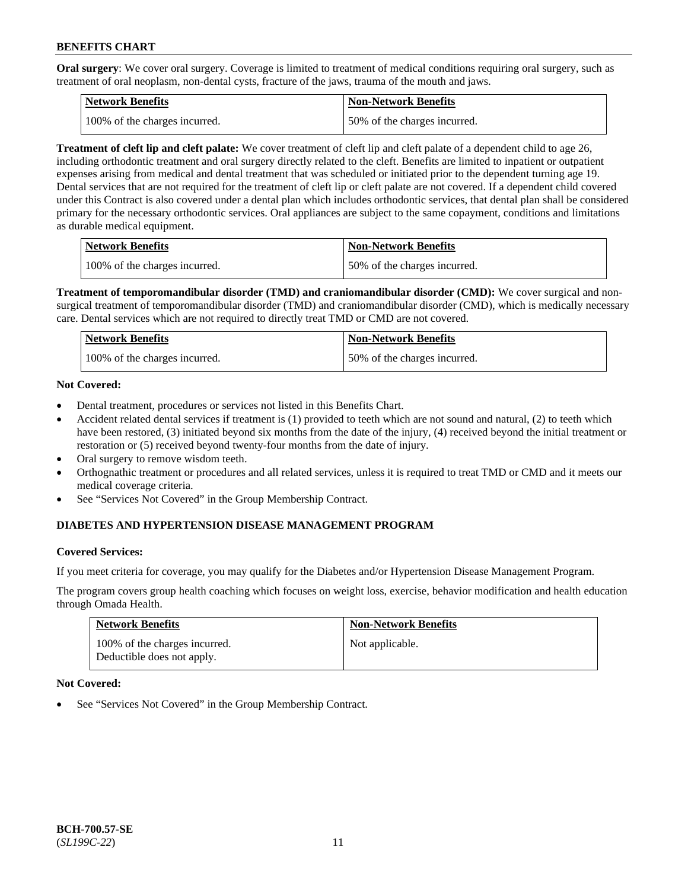**Oral surgery**: We cover oral surgery. Coverage is limited to treatment of medical conditions requiring oral surgery, such as treatment of oral neoplasm, non-dental cysts, fracture of the jaws, trauma of the mouth and jaws.

| <b>Network Benefits</b>       | <b>Non-Network Benefits</b>  |
|-------------------------------|------------------------------|
| 100% of the charges incurred. | 50% of the charges incurred. |

**Treatment of cleft lip and cleft palate:** We cover treatment of cleft lip and cleft palate of a dependent child to age 26, including orthodontic treatment and oral surgery directly related to the cleft. Benefits are limited to inpatient or outpatient expenses arising from medical and dental treatment that was scheduled or initiated prior to the dependent turning age 19. Dental services that are not required for the treatment of cleft lip or cleft palate are not covered. If a dependent child covered under this Contract is also covered under a dental plan which includes orthodontic services, that dental plan shall be considered primary for the necessary orthodontic services. Oral appliances are subject to the same copayment, conditions and limitations as durable medical equipment.

| <b>Network Benefits</b>       | <b>Non-Network Benefits</b>  |
|-------------------------------|------------------------------|
| 100% of the charges incurred. | 50% of the charges incurred. |

**Treatment of temporomandibular disorder (TMD) and craniomandibular disorder (CMD):** We cover surgical and nonsurgical treatment of temporomandibular disorder (TMD) and craniomandibular disorder (CMD), which is medically necessary care. Dental services which are not required to directly treat TMD or CMD are not covered.

| Network Benefits              | <b>Non-Network Benefits</b>  |
|-------------------------------|------------------------------|
| 100% of the charges incurred. | 50% of the charges incurred. |

### **Not Covered:**

- Dental treatment, procedures or services not listed in this Benefits Chart.
- Accident related dental services if treatment is (1) provided to teeth which are not sound and natural, (2) to teeth which have been restored, (3) initiated beyond six months from the date of the injury, (4) received beyond the initial treatment or restoration or (5) received beyond twenty-four months from the date of injury.
- Oral surgery to remove wisdom teeth.
- Orthognathic treatment or procedures and all related services, unless it is required to treat TMD or CMD and it meets our medical coverage criteria.
- See "Services Not Covered" in the Group Membership Contract.

### **DIABETES AND HYPERTENSION DISEASE MANAGEMENT PROGRAM**

#### **Covered Services:**

If you meet criteria for coverage, you may qualify for the Diabetes and/or Hypertension Disease Management Program.

The program covers group health coaching which focuses on weight loss, exercise, behavior modification and health education through Omada Health.

| <b>Network Benefits</b>                                     | <b>Non-Network Benefits</b> |
|-------------------------------------------------------------|-----------------------------|
| 100% of the charges incurred.<br>Deductible does not apply. | Not applicable.             |

#### **Not Covered:**

See "Services Not Covered" in the Group Membership Contract.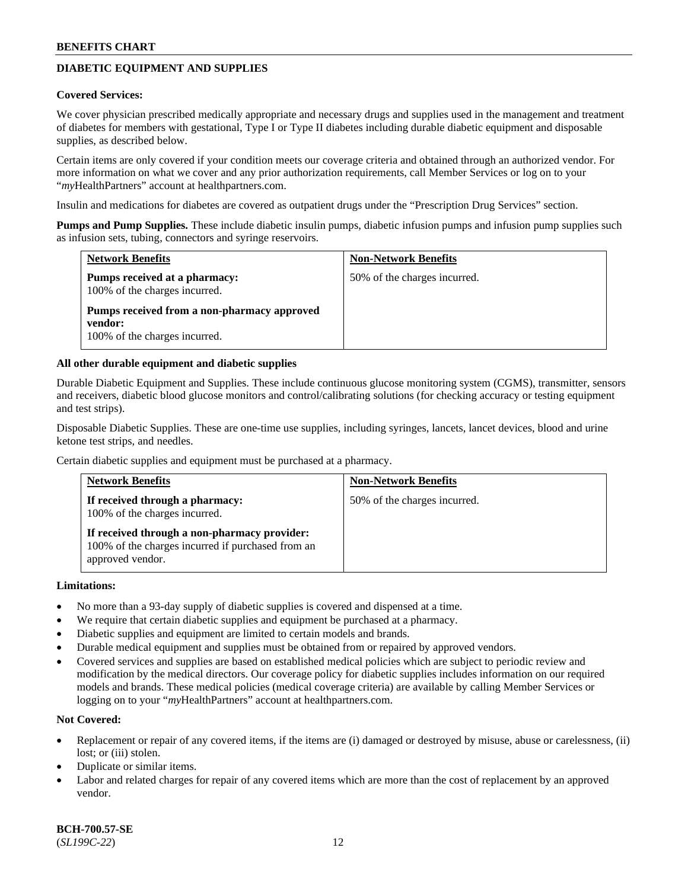# **DIABETIC EQUIPMENT AND SUPPLIES**

#### **Covered Services:**

We cover physician prescribed medically appropriate and necessary drugs and supplies used in the management and treatment of diabetes for members with gestational, Type I or Type II diabetes including durable diabetic equipment and disposable supplies, as described below.

Certain items are only covered if your condition meets our coverage criteria and obtained through an authorized vendor. For more information on what we cover and any prior authorization requirements, call Member Services or log on to your "*my*HealthPartners" account at [healthpartners.com.](http://www.healthpartners.com/)

Insulin and medications for diabetes are covered as outpatient drugs under the "Prescription Drug Services" section.

**Pumps and Pump Supplies.** These include diabetic insulin pumps, diabetic infusion pumps and infusion pump supplies such as infusion sets, tubing, connectors and syringe reservoirs.

| <b>Network Benefits</b>                                                                 | <b>Non-Network Benefits</b>  |
|-----------------------------------------------------------------------------------------|------------------------------|
| Pumps received at a pharmacy:<br>100% of the charges incurred.                          | 50% of the charges incurred. |
| Pumps received from a non-pharmacy approved<br>vendor:<br>100% of the charges incurred. |                              |

### **All other durable equipment and diabetic supplies**

Durable Diabetic Equipment and Supplies. These include continuous glucose monitoring system (CGMS), transmitter, sensors and receivers, diabetic blood glucose monitors and control/calibrating solutions (for checking accuracy or testing equipment and test strips).

Disposable Diabetic Supplies. These are one-time use supplies, including syringes, lancets, lancet devices, blood and urine ketone test strips, and needles.

Certain diabetic supplies and equipment must be purchased at a pharmacy.

| <b>Network Benefits</b>                                                                                               | <b>Non-Network Benefits</b>  |
|-----------------------------------------------------------------------------------------------------------------------|------------------------------|
| If received through a pharmacy:<br>100% of the charges incurred.                                                      | 50% of the charges incurred. |
| If received through a non-pharmacy provider:<br>100% of the charges incurred if purchased from an<br>approved vendor. |                              |

#### **Limitations:**

- No more than a 93-day supply of diabetic supplies is covered and dispensed at a time.
- We require that certain diabetic supplies and equipment be purchased at a pharmacy.
- Diabetic supplies and equipment are limited to certain models and brands.
- Durable medical equipment and supplies must be obtained from or repaired by approved vendors.
- Covered services and supplies are based on established medical policies which are subject to periodic review and modification by the medical directors. Our coverage policy for diabetic supplies includes information on our required models and brands. These medical policies (medical coverage criteria) are available by calling Member Services or logging on to your "*my*HealthPartners" account at [healthpartners.com.](http://www.healthpartners.com/)

### **Not Covered:**

- Replacement or repair of any covered items, if the items are (i) damaged or destroyed by misuse, abuse or carelessness, (ii) lost; or (iii) stolen.
- Duplicate or similar items.
- Labor and related charges for repair of any covered items which are more than the cost of replacement by an approved vendor.

**BCH-700.57-SE** (*SL199C-22*) 12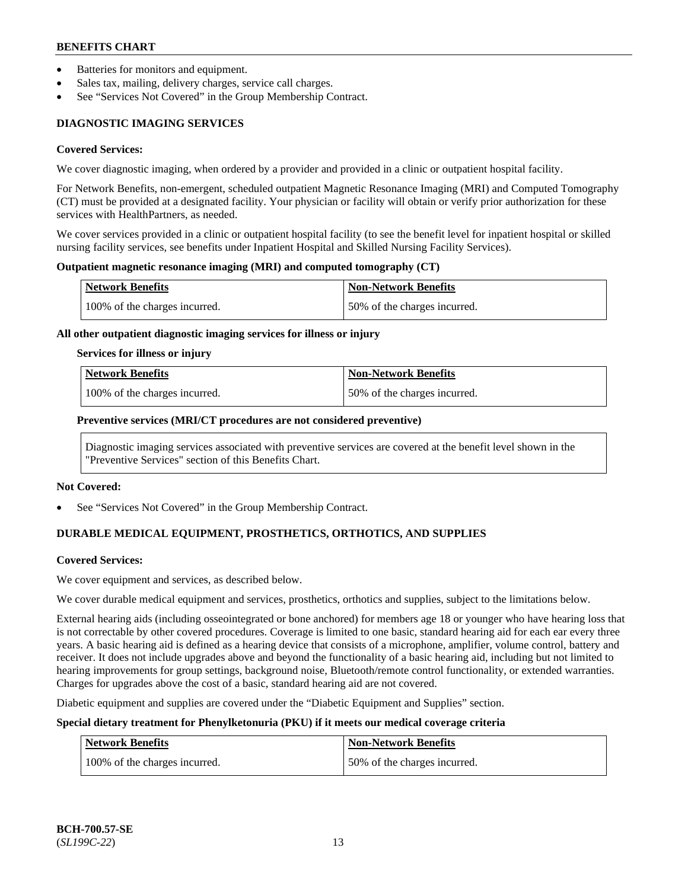- Batteries for monitors and equipment.
- Sales tax, mailing, delivery charges, service call charges.
- See "Services Not Covered" in the Group Membership Contract.

# **DIAGNOSTIC IMAGING SERVICES**

#### **Covered Services:**

We cover diagnostic imaging, when ordered by a provider and provided in a clinic or outpatient hospital facility.

For Network Benefits, non-emergent, scheduled outpatient Magnetic Resonance Imaging (MRI) and Computed Tomography (CT) must be provided at a designated facility. Your physician or facility will obtain or verify prior authorization for these services with HealthPartners, as needed.

We cover services provided in a clinic or outpatient hospital facility (to see the benefit level for inpatient hospital or skilled nursing facility services, see benefits under Inpatient Hospital and Skilled Nursing Facility Services).

#### **Outpatient magnetic resonance imaging (MRI) and computed tomography (CT)**

| <b>Network Benefits</b>       | <b>Non-Network Benefits</b>  |
|-------------------------------|------------------------------|
| 100% of the charges incurred. | 50% of the charges incurred. |

#### **All other outpatient diagnostic imaging services for illness or injury**

#### **Services for illness or injury**

| Network Benefits              | <b>Non-Network Benefits</b>  |
|-------------------------------|------------------------------|
| 100% of the charges incurred. | 50% of the charges incurred. |

### **Preventive services (MRI/CT procedures are not considered preventive)**

Diagnostic imaging services associated with preventive services are covered at the benefit level shown in the "Preventive Services" section of this Benefits Chart.

#### **Not Covered:**

See "Services Not Covered" in the Group Membership Contract.

# **DURABLE MEDICAL EQUIPMENT, PROSTHETICS, ORTHOTICS, AND SUPPLIES**

#### **Covered Services:**

We cover equipment and services, as described below.

We cover durable medical equipment and services, prosthetics, orthotics and supplies, subject to the limitations below.

External hearing aids (including osseointegrated or bone anchored) for members age 18 or younger who have hearing loss that is not correctable by other covered procedures. Coverage is limited to one basic, standard hearing aid for each ear every three years. A basic hearing aid is defined as a hearing device that consists of a microphone, amplifier, volume control, battery and receiver. It does not include upgrades above and beyond the functionality of a basic hearing aid, including but not limited to hearing improvements for group settings, background noise, Bluetooth/remote control functionality, or extended warranties. Charges for upgrades above the cost of a basic, standard hearing aid are not covered.

Diabetic equipment and supplies are covered under the "Diabetic Equipment and Supplies" section.

### **Special dietary treatment for Phenylketonuria (PKU) if it meets our medical coverage criteria**

| <b>Network Benefits</b>       | Non-Network Benefits         |
|-------------------------------|------------------------------|
| 100% of the charges incurred. | 50% of the charges incurred. |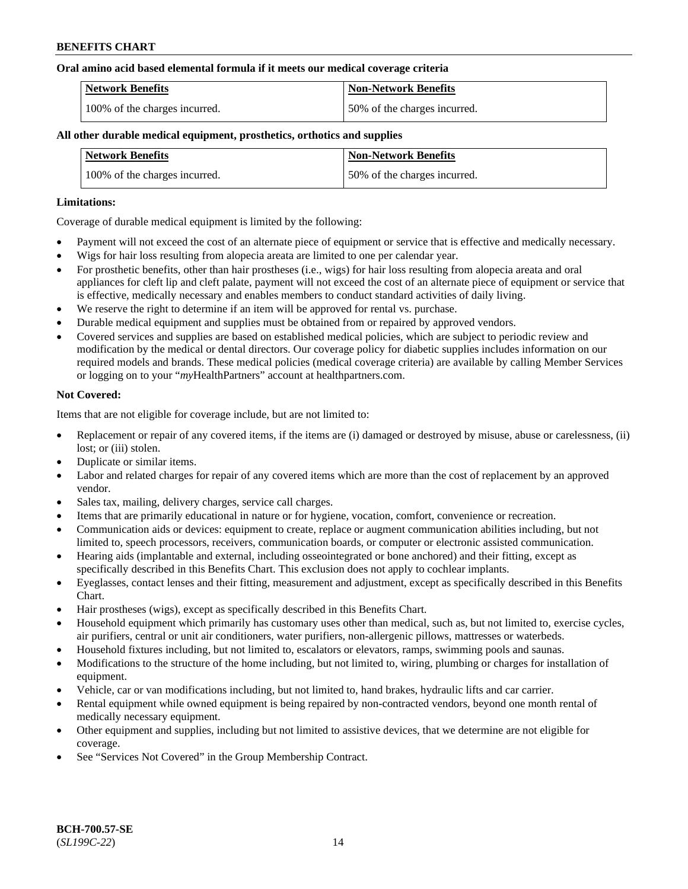### **Oral amino acid based elemental formula if it meets our medical coverage criteria**

| Network Benefits              | <b>Non-Network Benefits</b>  |
|-------------------------------|------------------------------|
| 100% of the charges incurred. | 50% of the charges incurred. |

### **All other durable medical equipment, prosthetics, orthotics and supplies**

| <b>Network Benefits</b>       | <b>Non-Network Benefits</b>  |
|-------------------------------|------------------------------|
| 100% of the charges incurred. | 50% of the charges incurred. |

### **Limitations:**

Coverage of durable medical equipment is limited by the following:

- Payment will not exceed the cost of an alternate piece of equipment or service that is effective and medically necessary.
- Wigs for hair loss resulting from alopecia areata are limited to one per calendar year.
- For prosthetic benefits, other than hair prostheses (i.e., wigs) for hair loss resulting from alopecia areata and oral appliances for cleft lip and cleft palate, payment will not exceed the cost of an alternate piece of equipment or service that is effective, medically necessary and enables members to conduct standard activities of daily living.
- We reserve the right to determine if an item will be approved for rental vs. purchase.
- Durable medical equipment and supplies must be obtained from or repaired by approved vendors.
- Covered services and supplies are based on established medical policies, which are subject to periodic review and modification by the medical or dental directors. Our coverage policy for diabetic supplies includes information on our required models and brands. These medical policies (medical coverage criteria) are available by calling Member Services or logging on to your "*my*HealthPartners" account a[t healthpartners.com.](https://www.healthpartners.com/hp/index.html)

### **Not Covered:**

Items that are not eligible for coverage include, but are not limited to:

- Replacement or repair of any covered items, if the items are (i) damaged or destroyed by misuse, abuse or carelessness, (ii) lost; or (iii) stolen.
- Duplicate or similar items.
- Labor and related charges for repair of any covered items which are more than the cost of replacement by an approved vendor.
- Sales tax, mailing, delivery charges, service call charges.
- Items that are primarily educational in nature or for hygiene, vocation, comfort, convenience or recreation.
- Communication aids or devices: equipment to create, replace or augment communication abilities including, but not limited to, speech processors, receivers, communication boards, or computer or electronic assisted communication.
- Hearing aids (implantable and external, including osseointegrated or bone anchored) and their fitting, except as specifically described in this Benefits Chart. This exclusion does not apply to cochlear implants.
- Eyeglasses, contact lenses and their fitting, measurement and adjustment, except as specifically described in this Benefits Chart.
- Hair prostheses (wigs), except as specifically described in this Benefits Chart.
- Household equipment which primarily has customary uses other than medical, such as, but not limited to, exercise cycles, air purifiers, central or unit air conditioners, water purifiers, non-allergenic pillows, mattresses or waterbeds.
- Household fixtures including, but not limited to, escalators or elevators, ramps, swimming pools and saunas.
- Modifications to the structure of the home including, but not limited to, wiring, plumbing or charges for installation of equipment.
- Vehicle, car or van modifications including, but not limited to, hand brakes, hydraulic lifts and car carrier.
- Rental equipment while owned equipment is being repaired by non-contracted vendors, beyond one month rental of medically necessary equipment.
- Other equipment and supplies, including but not limited to assistive devices, that we determine are not eligible for coverage.
- See "Services Not Covered" in the Group Membership Contract.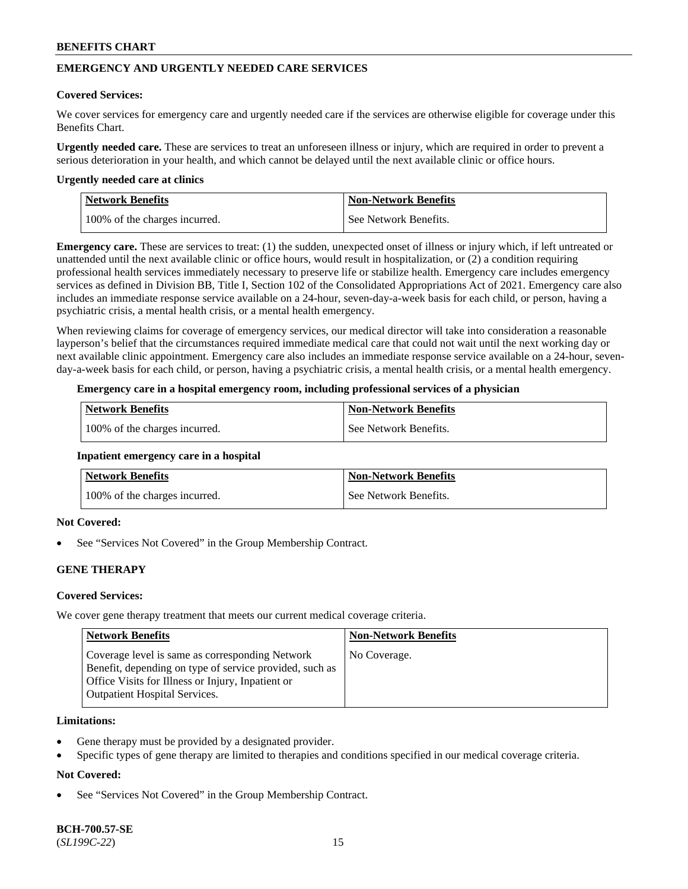# **EMERGENCY AND URGENTLY NEEDED CARE SERVICES**

### **Covered Services:**

We cover services for emergency care and urgently needed care if the services are otherwise eligible for coverage under this Benefits Chart.

**Urgently needed care.** These are services to treat an unforeseen illness or injury, which are required in order to prevent a serious deterioration in your health, and which cannot be delayed until the next available clinic or office hours.

#### **Urgently needed care at clinics**

| <b>Network Benefits</b>       | <b>Non-Network Benefits</b> |
|-------------------------------|-----------------------------|
| 100% of the charges incurred. | See Network Benefits.       |

**Emergency care.** These are services to treat: (1) the sudden, unexpected onset of illness or injury which, if left untreated or unattended until the next available clinic or office hours, would result in hospitalization, or (2) a condition requiring professional health services immediately necessary to preserve life or stabilize health. Emergency care includes emergency services as defined in Division BB, Title I, Section 102 of the Consolidated Appropriations Act of 2021. Emergency care also includes an immediate response service available on a 24-hour, seven-day-a-week basis for each child, or person, having a psychiatric crisis, a mental health crisis, or a mental health emergency.

When reviewing claims for coverage of emergency services, our medical director will take into consideration a reasonable layperson's belief that the circumstances required immediate medical care that could not wait until the next working day or next available clinic appointment. Emergency care also includes an immediate response service available on a 24-hour, sevenday-a-week basis for each child, or person, having a psychiatric crisis, a mental health crisis, or a mental health emergency.

### **Emergency care in a hospital emergency room, including professional services of a physician**

| <b>Network Benefits</b>       | <b>Non-Network Benefits</b> |
|-------------------------------|-----------------------------|
| 100% of the charges incurred. | See Network Benefits.       |

#### **Inpatient emergency care in a hospital**

| <b>Network Benefits</b>       | <b>Non-Network Benefits</b> |
|-------------------------------|-----------------------------|
| 100% of the charges incurred. | See Network Benefits.       |

### **Not Covered:**

See "Services Not Covered" in the Group Membership Contract.

### **GENE THERAPY**

### **Covered Services:**

We cover gene therapy treatment that meets our current medical coverage criteria.

| <b>Network Benefits</b>                                                                                                                                                                                 | <b>Non-Network Benefits</b> |
|---------------------------------------------------------------------------------------------------------------------------------------------------------------------------------------------------------|-----------------------------|
| Coverage level is same as corresponding Network<br>Benefit, depending on type of service provided, such as<br>Office Visits for Illness or Injury, Inpatient or<br><b>Outpatient Hospital Services.</b> | No Coverage.                |

#### **Limitations:**

- Gene therapy must be provided by a designated provider.
- Specific types of gene therapy are limited to therapies and conditions specified in our medical coverage criteria.

### **Not Covered:**

See "Services Not Covered" in the Group Membership Contract.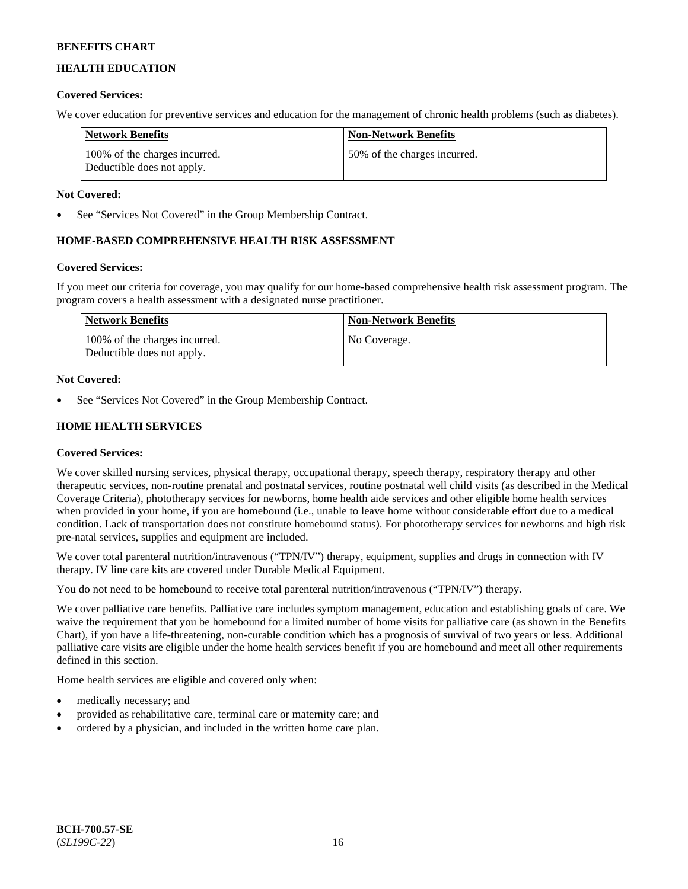# **HEALTH EDUCATION**

# **Covered Services:**

We cover education for preventive services and education for the management of chronic health problems (such as diabetes).

| <b>Network Benefits</b>                                     | <b>Non-Network Benefits</b>  |
|-------------------------------------------------------------|------------------------------|
| 100% of the charges incurred.<br>Deductible does not apply. | 50% of the charges incurred. |

### **Not Covered:**

See "Services Not Covered" in the Group Membership Contract.

# **HOME-BASED COMPREHENSIVE HEALTH RISK ASSESSMENT**

### **Covered Services:**

If you meet our criteria for coverage, you may qualify for our home-based comprehensive health risk assessment program. The program covers a health assessment with a designated nurse practitioner.

| Network Benefits                                            | <b>Non-Network Benefits</b> |
|-------------------------------------------------------------|-----------------------------|
| 100% of the charges incurred.<br>Deductible does not apply. | No Coverage.                |

# **Not Covered:**

See "Services Not Covered" in the Group Membership Contract.

# **HOME HEALTH SERVICES**

### **Covered Services:**

We cover skilled nursing services, physical therapy, occupational therapy, speech therapy, respiratory therapy and other therapeutic services, non-routine prenatal and postnatal services, routine postnatal well child visits (as described in the Medical Coverage Criteria), phototherapy services for newborns, home health aide services and other eligible home health services when provided in your home, if you are homebound (i.e., unable to leave home without considerable effort due to a medical condition. Lack of transportation does not constitute homebound status). For phototherapy services for newborns and high risk pre-natal services, supplies and equipment are included.

We cover total parenteral nutrition/intravenous ("TPN/IV") therapy, equipment, supplies and drugs in connection with IV therapy. IV line care kits are covered under Durable Medical Equipment.

You do not need to be homebound to receive total parenteral nutrition/intravenous ("TPN/IV") therapy.

We cover palliative care benefits. Palliative care includes symptom management, education and establishing goals of care. We waive the requirement that you be homebound for a limited number of home visits for palliative care (as shown in the Benefits Chart), if you have a life-threatening, non-curable condition which has a prognosis of survival of two years or less. Additional palliative care visits are eligible under the home health services benefit if you are homebound and meet all other requirements defined in this section.

Home health services are eligible and covered only when:

- medically necessary; and
- provided as rehabilitative care, terminal care or maternity care; and
- ordered by a physician, and included in the written home care plan.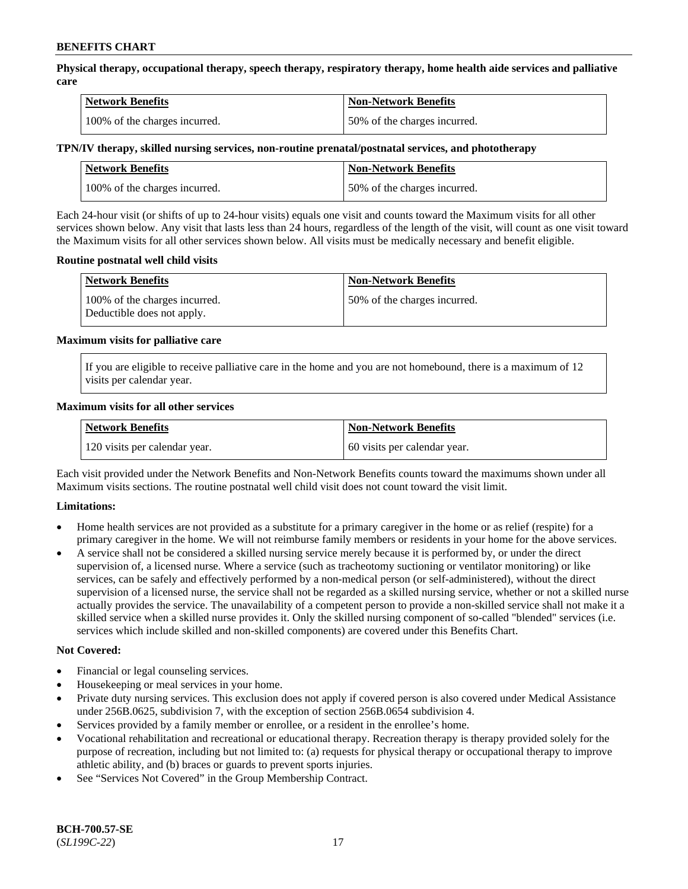**Physical therapy, occupational therapy, speech therapy, respiratory therapy, home health aide services and palliative care**

| <b>Network Benefits</b>       | <b>Non-Network Benefits</b>  |
|-------------------------------|------------------------------|
| 100% of the charges incurred. | 50% of the charges incurred. |

### **TPN/IV therapy, skilled nursing services, non-routine prenatal/postnatal services, and phototherapy**

| Network Benefits              | <b>Non-Network Benefits</b>  |
|-------------------------------|------------------------------|
| 100% of the charges incurred. | 50% of the charges incurred. |

Each 24-hour visit (or shifts of up to 24-hour visits) equals one visit and counts toward the Maximum visits for all other services shown below. Any visit that lasts less than 24 hours, regardless of the length of the visit, will count as one visit toward the Maximum visits for all other services shown below. All visits must be medically necessary and benefit eligible.

### **Routine postnatal well child visits**

| <b>Network Benefits</b>                                     | <b>Non-Network Benefits</b>  |
|-------------------------------------------------------------|------------------------------|
| 100% of the charges incurred.<br>Deductible does not apply. | 50% of the charges incurred. |

### **Maximum visits for palliative care**

If you are eligible to receive palliative care in the home and you are not homebound, there is a maximum of 12 visits per calendar year.

### **Maximum visits for all other services**

| <b>Network Benefits</b>       | <b>Non-Network Benefits</b>  |
|-------------------------------|------------------------------|
| 120 visits per calendar year. | 60 visits per calendar year. |

Each visit provided under the Network Benefits and Non-Network Benefits counts toward the maximums shown under all Maximum visits sections. The routine postnatal well child visit does not count toward the visit limit.

### **Limitations:**

- Home health services are not provided as a substitute for a primary caregiver in the home or as relief (respite) for a primary caregiver in the home. We will not reimburse family members or residents in your home for the above services.
- A service shall not be considered a skilled nursing service merely because it is performed by, or under the direct supervision of, a licensed nurse. Where a service (such as tracheotomy suctioning or ventilator monitoring) or like services, can be safely and effectively performed by a non-medical person (or self-administered), without the direct supervision of a licensed nurse, the service shall not be regarded as a skilled nursing service, whether or not a skilled nurse actually provides the service. The unavailability of a competent person to provide a non-skilled service shall not make it a skilled service when a skilled nurse provides it. Only the skilled nursing component of so-called "blended" services (i.e. services which include skilled and non-skilled components) are covered under this Benefits Chart.

#### **Not Covered:**

- Financial or legal counseling services.
- Housekeeping or meal services in your home.
- Private duty nursing services. This exclusion does not apply if covered person is also covered under Medical Assistance under 256B.0625, subdivision 7, with the exception of section 256B.0654 subdivision 4.
- Services provided by a family member or enrollee, or a resident in the enrollee's home.
- Vocational rehabilitation and recreational or educational therapy. Recreation therapy is therapy provided solely for the purpose of recreation, including but not limited to: (a) requests for physical therapy or occupational therapy to improve athletic ability, and (b) braces or guards to prevent sports injuries.
- See "Services Not Covered" in the Group Membership Contract.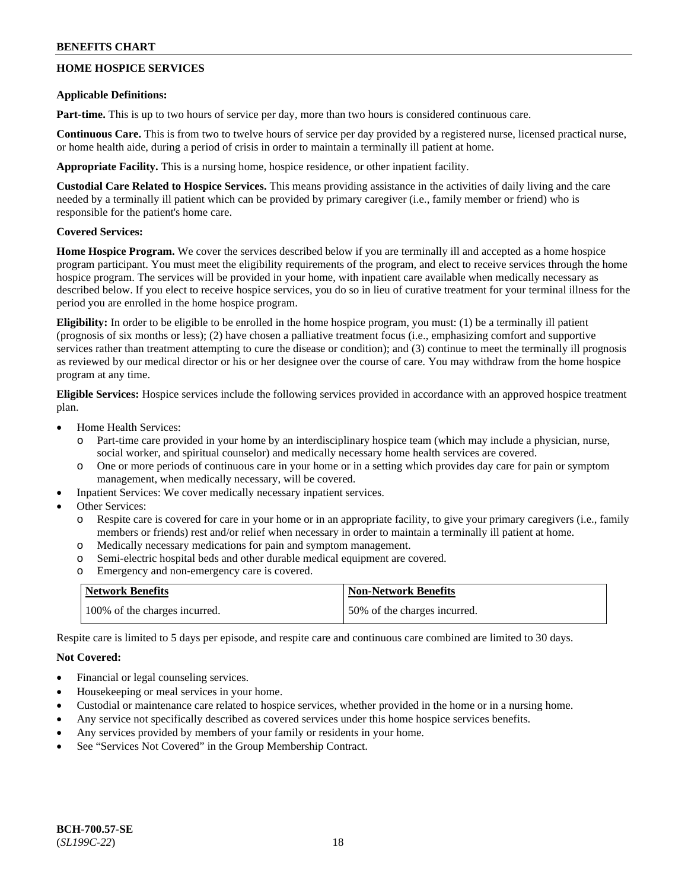# **HOME HOSPICE SERVICES**

### **Applicable Definitions:**

**Part-time.** This is up to two hours of service per day, more than two hours is considered continuous care.

**Continuous Care.** This is from two to twelve hours of service per day provided by a registered nurse, licensed practical nurse, or home health aide, during a period of crisis in order to maintain a terminally ill patient at home.

**Appropriate Facility.** This is a nursing home, hospice residence, or other inpatient facility.

**Custodial Care Related to Hospice Services.** This means providing assistance in the activities of daily living and the care needed by a terminally ill patient which can be provided by primary caregiver (i.e., family member or friend) who is responsible for the patient's home care.

### **Covered Services:**

**Home Hospice Program.** We cover the services described below if you are terminally ill and accepted as a home hospice program participant. You must meet the eligibility requirements of the program, and elect to receive services through the home hospice program. The services will be provided in your home, with inpatient care available when medically necessary as described below. If you elect to receive hospice services, you do so in lieu of curative treatment for your terminal illness for the period you are enrolled in the home hospice program.

**Eligibility:** In order to be eligible to be enrolled in the home hospice program, you must: (1) be a terminally ill patient (prognosis of six months or less); (2) have chosen a palliative treatment focus (i.e., emphasizing comfort and supportive services rather than treatment attempting to cure the disease or condition); and (3) continue to meet the terminally ill prognosis as reviewed by our medical director or his or her designee over the course of care. You may withdraw from the home hospice program at any time.

**Eligible Services:** Hospice services include the following services provided in accordance with an approved hospice treatment plan.

- Home Health Services:
	- o Part-time care provided in your home by an interdisciplinary hospice team (which may include a physician, nurse, social worker, and spiritual counselor) and medically necessary home health services are covered.
	- o One or more periods of continuous care in your home or in a setting which provides day care for pain or symptom management, when medically necessary, will be covered.
- Inpatient Services: We cover medically necessary inpatient services.
- Other Services:
	- o Respite care is covered for care in your home or in an appropriate facility, to give your primary caregivers (i.e., family members or friends) rest and/or relief when necessary in order to maintain a terminally ill patient at home.
	- o Medically necessary medications for pain and symptom management.
	- o Semi-electric hospital beds and other durable medical equipment are covered.
	- o Emergency and non-emergency care is covered.

| <b>Network Benefits</b>       | <b>Non-Network Benefits</b>  |
|-------------------------------|------------------------------|
| 100% of the charges incurred. | 50% of the charges incurred. |

Respite care is limited to 5 days per episode, and respite care and continuous care combined are limited to 30 days.

### **Not Covered:**

- Financial or legal counseling services.
- Housekeeping or meal services in your home.
- Custodial or maintenance care related to hospice services, whether provided in the home or in a nursing home.
- Any service not specifically described as covered services under this home hospice services benefits.
- Any services provided by members of your family or residents in your home.
- See "Services Not Covered" in the Group Membership Contract.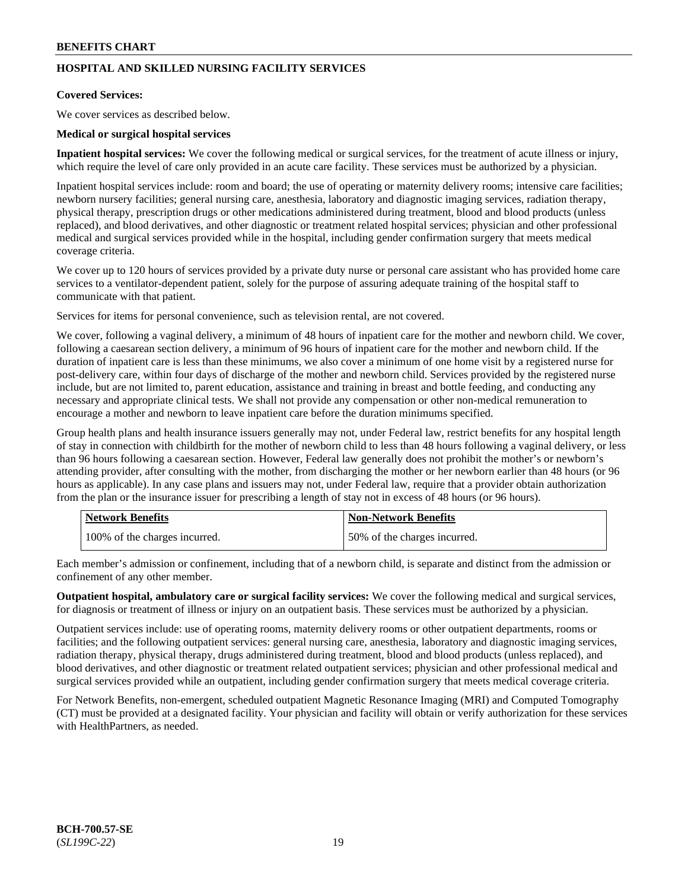# **HOSPITAL AND SKILLED NURSING FACILITY SERVICES**

### **Covered Services:**

We cover services as described below.

### **Medical or surgical hospital services**

**Inpatient hospital services:** We cover the following medical or surgical services, for the treatment of acute illness or injury, which require the level of care only provided in an acute care facility. These services must be authorized by a physician.

Inpatient hospital services include: room and board; the use of operating or maternity delivery rooms; intensive care facilities; newborn nursery facilities; general nursing care, anesthesia, laboratory and diagnostic imaging services, radiation therapy, physical therapy, prescription drugs or other medications administered during treatment, blood and blood products (unless replaced), and blood derivatives, and other diagnostic or treatment related hospital services; physician and other professional medical and surgical services provided while in the hospital, including gender confirmation surgery that meets medical coverage criteria.

We cover up to 120 hours of services provided by a private duty nurse or personal care assistant who has provided home care services to a ventilator-dependent patient, solely for the purpose of assuring adequate training of the hospital staff to communicate with that patient.

Services for items for personal convenience, such as television rental, are not covered.

We cover, following a vaginal delivery, a minimum of 48 hours of inpatient care for the mother and newborn child. We cover, following a caesarean section delivery, a minimum of 96 hours of inpatient care for the mother and newborn child. If the duration of inpatient care is less than these minimums, we also cover a minimum of one home visit by a registered nurse for post-delivery care, within four days of discharge of the mother and newborn child. Services provided by the registered nurse include, but are not limited to, parent education, assistance and training in breast and bottle feeding, and conducting any necessary and appropriate clinical tests. We shall not provide any compensation or other non-medical remuneration to encourage a mother and newborn to leave inpatient care before the duration minimums specified.

Group health plans and health insurance issuers generally may not, under Federal law, restrict benefits for any hospital length of stay in connection with childbirth for the mother of newborn child to less than 48 hours following a vaginal delivery, or less than 96 hours following a caesarean section. However, Federal law generally does not prohibit the mother's or newborn's attending provider, after consulting with the mother, from discharging the mother or her newborn earlier than 48 hours (or 96 hours as applicable). In any case plans and issuers may not, under Federal law, require that a provider obtain authorization from the plan or the insurance issuer for prescribing a length of stay not in excess of 48 hours (or 96 hours).

| <b>Network Benefits</b>       | <b>Non-Network Benefits</b>  |
|-------------------------------|------------------------------|
| 100% of the charges incurred. | 50% of the charges incurred. |

Each member's admission or confinement, including that of a newborn child, is separate and distinct from the admission or confinement of any other member.

**Outpatient hospital, ambulatory care or surgical facility services:** We cover the following medical and surgical services, for diagnosis or treatment of illness or injury on an outpatient basis. These services must be authorized by a physician.

Outpatient services include: use of operating rooms, maternity delivery rooms or other outpatient departments, rooms or facilities; and the following outpatient services: general nursing care, anesthesia, laboratory and diagnostic imaging services, radiation therapy, physical therapy, drugs administered during treatment, blood and blood products (unless replaced), and blood derivatives, and other diagnostic or treatment related outpatient services; physician and other professional medical and surgical services provided while an outpatient, including gender confirmation surgery that meets medical coverage criteria.

For Network Benefits, non-emergent, scheduled outpatient Magnetic Resonance Imaging (MRI) and Computed Tomography (CT) must be provided at a designated facility. Your physician and facility will obtain or verify authorization for these services with HealthPartners, as needed.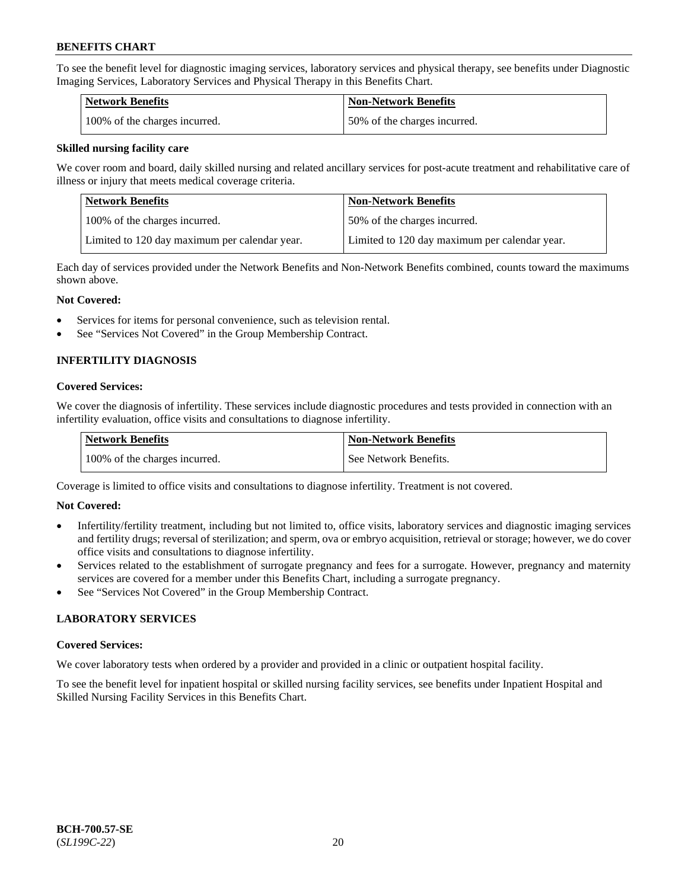To see the benefit level for diagnostic imaging services, laboratory services and physical therapy, see benefits under Diagnostic Imaging Services, Laboratory Services and Physical Therapy in this Benefits Chart.

| <b>Network Benefits</b>       | Non-Network Benefits         |
|-------------------------------|------------------------------|
| 100% of the charges incurred. | 50% of the charges incurred. |

### **Skilled nursing facility care**

We cover room and board, daily skilled nursing and related ancillary services for post-acute treatment and rehabilitative care of illness or injury that meets medical coverage criteria.

| Network Benefits                              | <b>Non-Network Benefits</b>                   |
|-----------------------------------------------|-----------------------------------------------|
| 100% of the charges incurred.                 | 150% of the charges incurred.                 |
| Limited to 120 day maximum per calendar year. | Limited to 120 day maximum per calendar year. |

Each day of services provided under the Network Benefits and Non-Network Benefits combined, counts toward the maximums shown above.

### **Not Covered:**

- Services for items for personal convenience, such as television rental.
- See "Services Not Covered" in the Group Membership Contract.

# **INFERTILITY DIAGNOSIS**

### **Covered Services:**

We cover the diagnosis of infertility. These services include diagnostic procedures and tests provided in connection with an infertility evaluation, office visits and consultations to diagnose infertility.

| <b>Network Benefits</b>       | <b>Non-Network Benefits</b> |
|-------------------------------|-----------------------------|
| 100% of the charges incurred. | See Network Benefits.       |

Coverage is limited to office visits and consultations to diagnose infertility. Treatment is not covered.

### **Not Covered:**

- Infertility/fertility treatment, including but not limited to, office visits, laboratory services and diagnostic imaging services and fertility drugs; reversal of sterilization; and sperm, ova or embryo acquisition, retrieval or storage; however, we do cover office visits and consultations to diagnose infertility.
- Services related to the establishment of surrogate pregnancy and fees for a surrogate. However, pregnancy and maternity services are covered for a member under this Benefits Chart, including a surrogate pregnancy.
- See "Services Not Covered" in the Group Membership Contract.

### **LABORATORY SERVICES**

#### **Covered Services:**

We cover laboratory tests when ordered by a provider and provided in a clinic or outpatient hospital facility.

To see the benefit level for inpatient hospital or skilled nursing facility services, see benefits under Inpatient Hospital and Skilled Nursing Facility Services in this Benefits Chart.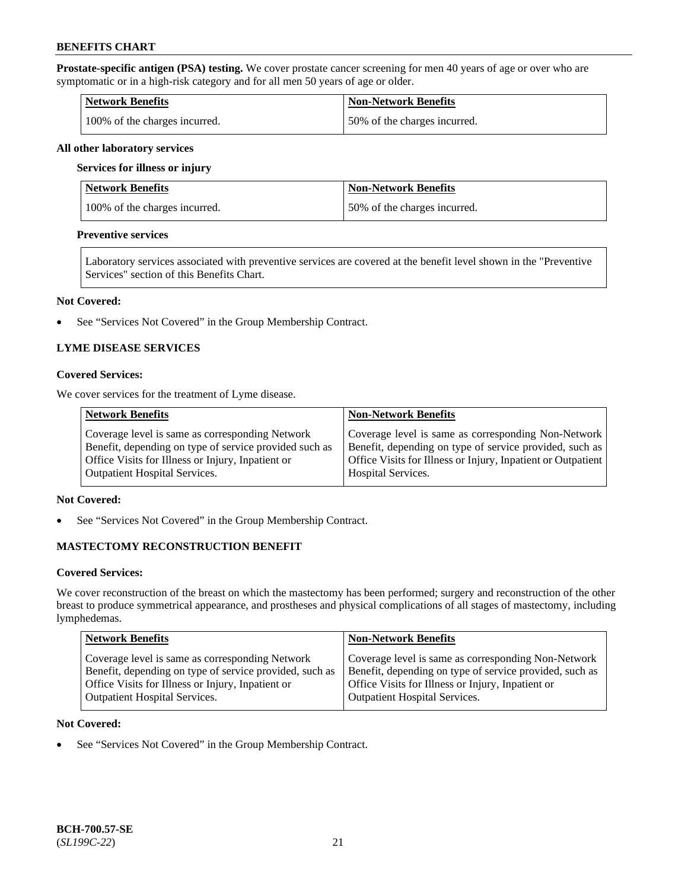**Prostate-specific antigen (PSA) testing.** We cover prostate cancer screening for men 40 years of age or over who are symptomatic or in a high-risk category and for all men 50 years of age or older.

| <b>Network Benefits</b>       | <b>Non-Network Benefits</b>  |
|-------------------------------|------------------------------|
| 100% of the charges incurred. | 50% of the charges incurred. |

#### **All other laboratory services**

#### **Services for illness or injury**

| Network Benefits              | <b>Non-Network Benefits</b>  |
|-------------------------------|------------------------------|
| 100% of the charges incurred. | 50% of the charges incurred. |

### **Preventive services**

Laboratory services associated with preventive services are covered at the benefit level shown in the "Preventive Services" section of this Benefits Chart.

#### **Not Covered:**

• See "Services Not Covered" in the Group Membership Contract.

### **LYME DISEASE SERVICES**

### **Covered Services:**

We cover services for the treatment of Lyme disease.

| <b>Network Benefits</b>                                | <b>Non-Network Benefits</b>                                  |
|--------------------------------------------------------|--------------------------------------------------------------|
| Coverage level is same as corresponding Network        | Coverage level is same as corresponding Non-Network          |
| Benefit, depending on type of service provided such as | Benefit, depending on type of service provided, such as      |
| Office Visits for Illness or Injury, Inpatient or      | Office Visits for Illness or Injury, Inpatient or Outpatient |
| <b>Outpatient Hospital Services.</b>                   | Hospital Services.                                           |

### **Not Covered:**

• See "Services Not Covered" in the Group Membership Contract.

# **MASTECTOMY RECONSTRUCTION BENEFIT**

#### **Covered Services:**

We cover reconstruction of the breast on which the mastectomy has been performed; surgery and reconstruction of the other breast to produce symmetrical appearance, and prostheses and physical complications of all stages of mastectomy, including lymphedemas.

| <b>Network Benefits</b>                                 | <b>Non-Network Benefits</b>                             |
|---------------------------------------------------------|---------------------------------------------------------|
| Coverage level is same as corresponding Network         | Coverage level is same as corresponding Non-Network     |
| Benefit, depending on type of service provided, such as | Benefit, depending on type of service provided, such as |
| Office Visits for Illness or Injury, Inpatient or       | Office Visits for Illness or Injury, Inpatient or       |
| <b>Outpatient Hospital Services.</b>                    | Outpatient Hospital Services.                           |

### **Not Covered:**

• See "Services Not Covered" in the Group Membership Contract.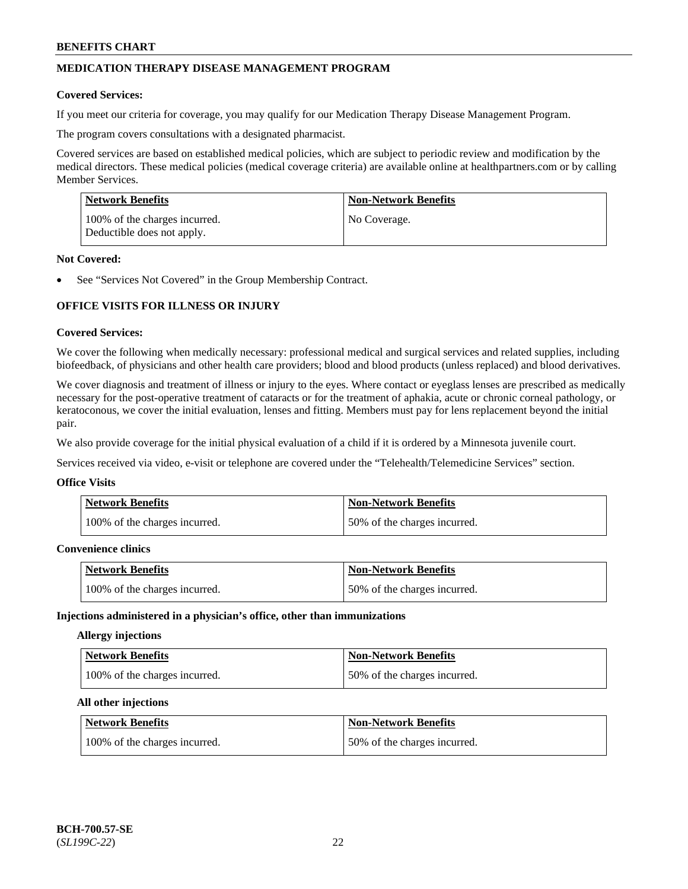# **MEDICATION THERAPY DISEASE MANAGEMENT PROGRAM**

### **Covered Services:**

If you meet our criteria for coverage, you may qualify for our Medication Therapy Disease Management Program.

The program covers consultations with a designated pharmacist.

Covered services are based on established medical policies, which are subject to periodic review and modification by the medical directors. These medical policies (medical coverage criteria) are available online at [healthpartners.com](https://www.healthpartners.com/hp/index.html) or by calling Member Services.

| Network Benefits                                            | <b>Non-Network Benefits</b> |
|-------------------------------------------------------------|-----------------------------|
| 100% of the charges incurred.<br>Deductible does not apply. | No Coverage.                |

### **Not Covered:**

See "Services Not Covered" in the Group Membership Contract.

# **OFFICE VISITS FOR ILLNESS OR INJURY**

### **Covered Services:**

We cover the following when medically necessary: professional medical and surgical services and related supplies, including biofeedback, of physicians and other health care providers; blood and blood products (unless replaced) and blood derivatives.

We cover diagnosis and treatment of illness or injury to the eyes. Where contact or eyeglass lenses are prescribed as medically necessary for the post-operative treatment of cataracts or for the treatment of aphakia, acute or chronic corneal pathology, or keratoconous, we cover the initial evaluation, lenses and fitting. Members must pay for lens replacement beyond the initial pair.

We also provide coverage for the initial physical evaluation of a child if it is ordered by a Minnesota juvenile court.

Services received via video, e-visit or telephone are covered under the "Telehealth/Telemedicine Services" section.

#### **Office Visits**

| <b>Network Benefits</b>       | <b>Non-Network Benefits</b>  |
|-------------------------------|------------------------------|
| 100% of the charges incurred. | 50% of the charges incurred. |

### **Convenience clinics**

| <b>Network Benefits</b>       | <b>Non-Network Benefits</b>  |
|-------------------------------|------------------------------|
| 100% of the charges incurred. | 50% of the charges incurred. |

#### **Injections administered in a physician's office, other than immunizations**

### **Allergy injections**

| Network Benefits              | <b>Non-Network Benefits</b>  |
|-------------------------------|------------------------------|
| 100% of the charges incurred. | 50% of the charges incurred. |

#### **All other injections**

| Network Benefits              | <b>Non-Network Benefits</b>  |
|-------------------------------|------------------------------|
| 100% of the charges incurred. | 50% of the charges incurred. |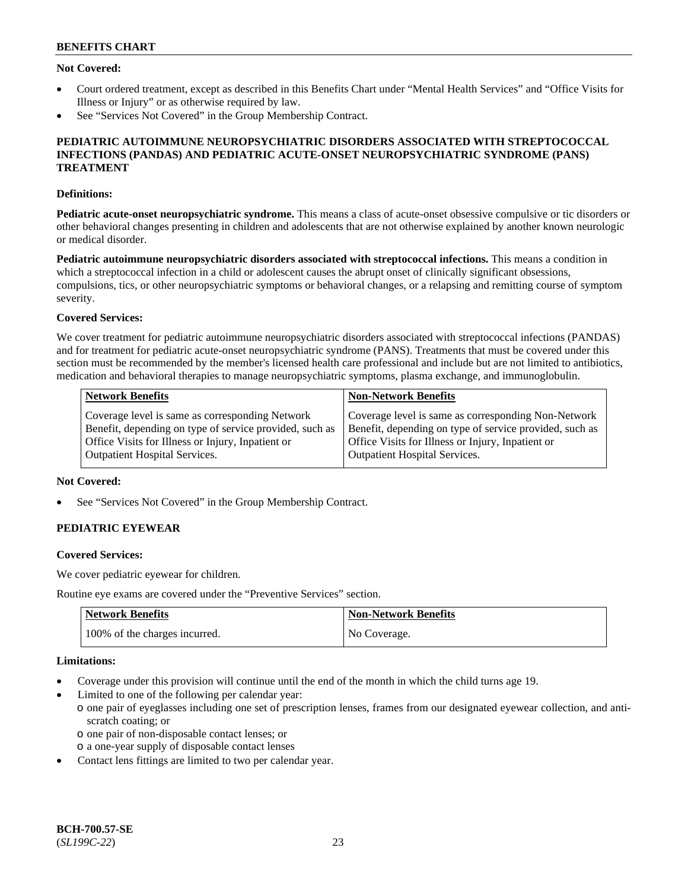### **Not Covered:**

- Court ordered treatment, except as described in this Benefits Chart under "Mental Health Services" and "Office Visits for Illness or Injury" or as otherwise required by law.
- See "Services Not Covered" in the Group Membership Contract.

### **PEDIATRIC AUTOIMMUNE NEUROPSYCHIATRIC DISORDERS ASSOCIATED WITH STREPTOCOCCAL INFECTIONS (PANDAS) AND PEDIATRIC ACUTE-ONSET NEUROPSYCHIATRIC SYNDROME (PANS) TREATMENT**

### **Definitions:**

**Pediatric acute-onset neuropsychiatric syndrome.** This means a class of acute-onset obsessive compulsive or tic disorders or other behavioral changes presenting in children and adolescents that are not otherwise explained by another known neurologic or medical disorder.

**Pediatric autoimmune neuropsychiatric disorders associated with streptococcal infections.** This means a condition in which a streptococcal infection in a child or adolescent causes the abrupt onset of clinically significant obsessions, compulsions, tics, or other neuropsychiatric symptoms or behavioral changes, or a relapsing and remitting course of symptom severity.

### **Covered Services:**

We cover treatment for pediatric autoimmune neuropsychiatric disorders associated with streptococcal infections (PANDAS) and for treatment for pediatric acute-onset neuropsychiatric syndrome (PANS). Treatments that must be covered under this section must be recommended by the member's licensed health care professional and include but are not limited to antibiotics, medication and behavioral therapies to manage neuropsychiatric symptoms, plasma exchange, and immunoglobulin.

| <b>Network Benefits</b>                                 | <b>Non-Network Benefits</b>                             |
|---------------------------------------------------------|---------------------------------------------------------|
| Coverage level is same as corresponding Network         | Coverage level is same as corresponding Non-Network     |
| Benefit, depending on type of service provided, such as | Benefit, depending on type of service provided, such as |
| Office Visits for Illness or Injury, Inpatient or       | Office Visits for Illness or Injury, Inpatient or       |
| <b>Outpatient Hospital Services.</b>                    | <b>Outpatient Hospital Services.</b>                    |

### **Not Covered:**

See "Services Not Covered" in the Group Membership Contract.

# **PEDIATRIC EYEWEAR**

#### **Covered Services:**

We cover pediatric eyewear for children.

Routine eye exams are covered under the "Preventive Services" section.

| <b>Network Benefits</b>       | Non-Network Benefits |
|-------------------------------|----------------------|
| 100% of the charges incurred. | No Coverage.         |

### **Limitations:**

- Coverage under this provision will continue until the end of the month in which the child turns age 19.
- Limited to one of the following per calendar year:
	- o one pair of eyeglasses including one set of prescription lenses, frames from our designated eyewear collection, and antiscratch coating; or
		- o one pair of non-disposable contact lenses; or
	- o a one-year supply of disposable contact lenses
- Contact lens fittings are limited to two per calendar year.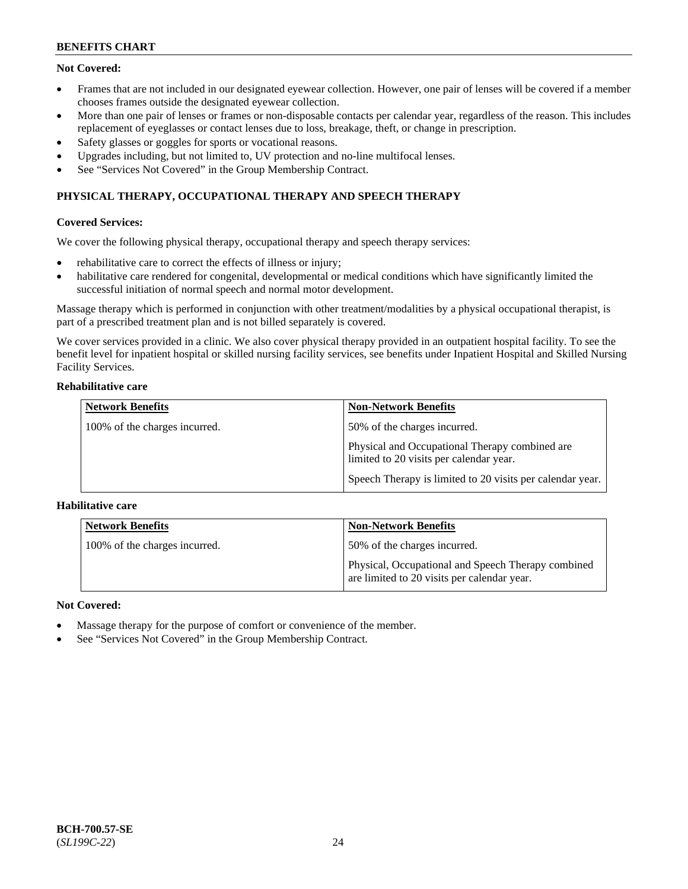# **Not Covered:**

- Frames that are not included in our designated eyewear collection. However, one pair of lenses will be covered if a member chooses frames outside the designated eyewear collection.
- More than one pair of lenses or frames or non-disposable contacts per calendar year, regardless of the reason. This includes replacement of eyeglasses or contact lenses due to loss, breakage, theft, or change in prescription.
- Safety glasses or goggles for sports or vocational reasons.
- Upgrades including, but not limited to, UV protection and no-line multifocal lenses.
- See "Services Not Covered" in the Group Membership Contract.

# **PHYSICAL THERAPY, OCCUPATIONAL THERAPY AND SPEECH THERAPY**

### **Covered Services:**

We cover the following physical therapy, occupational therapy and speech therapy services:

- rehabilitative care to correct the effects of illness or injury;
- habilitative care rendered for congenital, developmental or medical conditions which have significantly limited the successful initiation of normal speech and normal motor development.

Massage therapy which is performed in conjunction with other treatment/modalities by a physical occupational therapist, is part of a prescribed treatment plan and is not billed separately is covered.

We cover services provided in a clinic. We also cover physical therapy provided in an outpatient hospital facility. To see the benefit level for inpatient hospital or skilled nursing facility services, see benefits under Inpatient Hospital and Skilled Nursing Facility Services.

### **Rehabilitative care**

| <b>Network Benefits</b>       | <b>Non-Network Benefits</b>                                                               |
|-------------------------------|-------------------------------------------------------------------------------------------|
| 100% of the charges incurred. | 50% of the charges incurred.                                                              |
|                               | Physical and Occupational Therapy combined are<br>limited to 20 visits per calendar year. |
|                               | Speech Therapy is limited to 20 visits per calendar year.                                 |

### **Habilitative care**

| <b>Network Benefits</b>       | <b>Non-Network Benefits</b>                                                                       |
|-------------------------------|---------------------------------------------------------------------------------------------------|
| 100% of the charges incurred. | 50% of the charges incurred.                                                                      |
|                               | Physical, Occupational and Speech Therapy combined<br>are limited to 20 visits per calendar year. |

### **Not Covered:**

- Massage therapy for the purpose of comfort or convenience of the member.
- See "Services Not Covered" in the Group Membership Contract.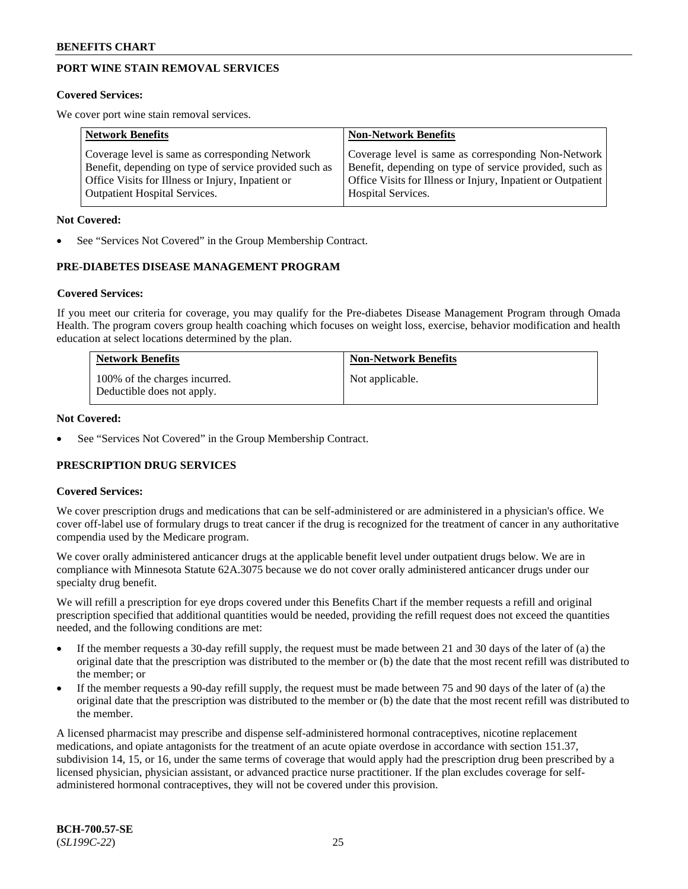# **PORT WINE STAIN REMOVAL SERVICES**

#### **Covered Services:**

We cover port wine stain removal services.

| <b>Network Benefits</b>                                | <b>Non-Network Benefits</b>                                  |
|--------------------------------------------------------|--------------------------------------------------------------|
| Coverage level is same as corresponding Network        | Coverage level is same as corresponding Non-Network          |
| Benefit, depending on type of service provided such as | Benefit, depending on type of service provided, such as      |
| Office Visits for Illness or Injury, Inpatient or      | Office Visits for Illness or Injury, Inpatient or Outpatient |
| <b>Outpatient Hospital Services.</b>                   | Hospital Services.                                           |

#### **Not Covered:**

See "Services Not Covered" in the Group Membership Contract.

### **PRE-DIABETES DISEASE MANAGEMENT PROGRAM**

#### **Covered Services:**

If you meet our criteria for coverage, you may qualify for the Pre-diabetes Disease Management Program through Omada Health. The program covers group health coaching which focuses on weight loss, exercise, behavior modification and health education at select locations determined by the plan.

| <b>Network Benefits</b>                                     | <b>Non-Network Benefits</b> |
|-------------------------------------------------------------|-----------------------------|
| 100% of the charges incurred.<br>Deductible does not apply. | Not applicable.             |

### **Not Covered:**

See "Services Not Covered" in the Group Membership Contract.

### **PRESCRIPTION DRUG SERVICES**

### **Covered Services:**

We cover prescription drugs and medications that can be self-administered or are administered in a physician's office. We cover off-label use of formulary drugs to treat cancer if the drug is recognized for the treatment of cancer in any authoritative compendia used by the Medicare program.

We cover orally administered anticancer drugs at the applicable benefit level under outpatient drugs below. We are in compliance with Minnesota Statute 62A.3075 because we do not cover orally administered anticancer drugs under our specialty drug benefit.

We will refill a prescription for eye drops covered under this Benefits Chart if the member requests a refill and original prescription specified that additional quantities would be needed, providing the refill request does not exceed the quantities needed, and the following conditions are met:

- If the member requests a 30-day refill supply, the request must be made between 21 and 30 days of the later of (a) the original date that the prescription was distributed to the member or (b) the date that the most recent refill was distributed to the member; or
- If the member requests a 90-day refill supply, the request must be made between 75 and 90 days of the later of (a) the original date that the prescription was distributed to the member or (b) the date that the most recent refill was distributed to the member.

A licensed pharmacist may prescribe and dispense self-administered hormonal contraceptives, nicotine replacement medications, and opiate antagonists for the treatment of an acute opiate overdose in accordance with section 151.37, subdivision 14, 15, or 16, under the same terms of coverage that would apply had the prescription drug been prescribed by a licensed physician, physician assistant, or advanced practice nurse practitioner. If the plan excludes coverage for selfadministered hormonal contraceptives, they will not be covered under this provision.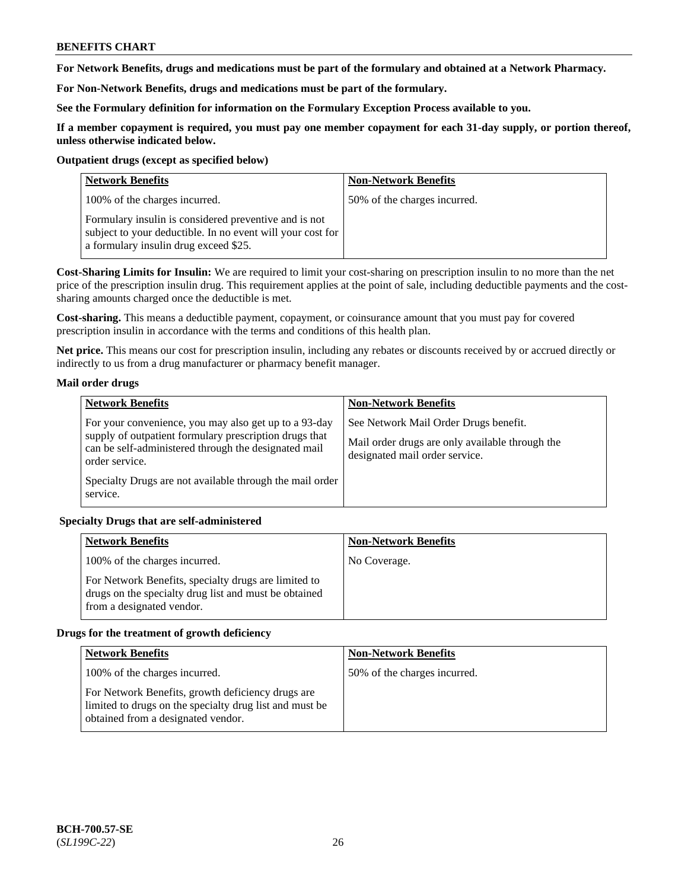**For Network Benefits, drugs and medications must be part of the formulary and obtained at a Network Pharmacy.**

**For Non-Network Benefits, drugs and medications must be part of the formulary.** 

**See the Formulary definition for information on the Formulary Exception Process available to you.**

**If a member copayment is required, you must pay one member copayment for each 31-day supply, or portion thereof, unless otherwise indicated below.**

### **Outpatient drugs (except as specified below)**

| <b>Network Benefits</b>                                                                                                                                      | <b>Non-Network Benefits</b>  |
|--------------------------------------------------------------------------------------------------------------------------------------------------------------|------------------------------|
| 100% of the charges incurred.                                                                                                                                | 50% of the charges incurred. |
| Formulary insulin is considered preventive and is not<br>subject to your deductible. In no event will your cost for<br>a formulary insulin drug exceed \$25. |                              |

**Cost-Sharing Limits for Insulin:** We are required to limit your cost-sharing on prescription insulin to no more than the net price of the prescription insulin drug. This requirement applies at the point of sale, including deductible payments and the costsharing amounts charged once the deductible is met.

**Cost-sharing.** This means a deductible payment, copayment, or coinsurance amount that you must pay for covered prescription insulin in accordance with the terms and conditions of this health plan.

**Net price.** This means our cost for prescription insulin, including any rebates or discounts received by or accrued directly or indirectly to us from a drug manufacturer or pharmacy benefit manager.

### **Mail order drugs**

| <b>Network Benefits</b>                                                                                                                                                                   | <b>Non-Network Benefits</b>                                                                                                |
|-------------------------------------------------------------------------------------------------------------------------------------------------------------------------------------------|----------------------------------------------------------------------------------------------------------------------------|
| For your convenience, you may also get up to a 93-day<br>supply of outpatient formulary prescription drugs that<br>can be self-administered through the designated mail<br>order service. | See Network Mail Order Drugs benefit.<br>Mail order drugs are only available through the<br>designated mail order service. |
| Specialty Drugs are not available through the mail order<br>service.                                                                                                                      |                                                                                                                            |

### **Specialty Drugs that are self-administered**

| <b>Network Benefits</b>                                                                                                                    | <b>Non-Network Benefits</b> |
|--------------------------------------------------------------------------------------------------------------------------------------------|-----------------------------|
| 100% of the charges incurred.                                                                                                              | No Coverage.                |
| For Network Benefits, specialty drugs are limited to<br>drugs on the specialty drug list and must be obtained<br>from a designated vendor. |                             |

### **Drugs for the treatment of growth deficiency**

| <b>Network Benefits</b>                                                                                                                            | <b>Non-Network Benefits</b>  |
|----------------------------------------------------------------------------------------------------------------------------------------------------|------------------------------|
| 100% of the charges incurred.                                                                                                                      | 50% of the charges incurred. |
| For Network Benefits, growth deficiency drugs are<br>limited to drugs on the specialty drug list and must be<br>obtained from a designated vendor. |                              |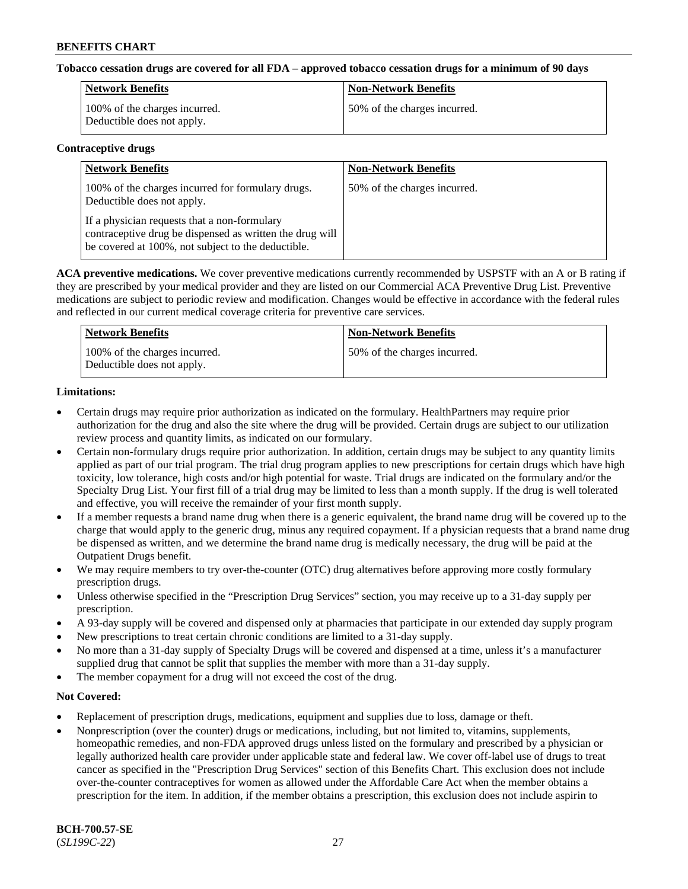### **Tobacco cessation drugs are covered for all FDA – approved tobacco cessation drugs for a minimum of 90 days**

| Network Benefits                                            | <b>Non-Network Benefits</b>  |
|-------------------------------------------------------------|------------------------------|
| 100% of the charges incurred.<br>Deductible does not apply. | 50% of the charges incurred. |

#### **Contraceptive drugs**

| <b>Network Benefits</b>                                                                                                                                        | <b>Non-Network Benefits</b>  |
|----------------------------------------------------------------------------------------------------------------------------------------------------------------|------------------------------|
| 100% of the charges incurred for formulary drugs.<br>Deductible does not apply.                                                                                | 50% of the charges incurred. |
| If a physician requests that a non-formulary<br>contraceptive drug be dispensed as written the drug will<br>be covered at 100%, not subject to the deductible. |                              |

**ACA preventive medications.** We cover preventive medications currently recommended by USPSTF with an A or B rating if they are prescribed by your medical provider and they are listed on our Commercial ACA Preventive Drug List. Preventive medications are subject to periodic review and modification. Changes would be effective in accordance with the federal rules and reflected in our current medical coverage criteria for preventive care services.

| Network Benefits                                            | <b>Non-Network Benefits</b>  |
|-------------------------------------------------------------|------------------------------|
| 100% of the charges incurred.<br>Deductible does not apply. | 50% of the charges incurred. |

### **Limitations:**

- Certain drugs may require prior authorization as indicated on the formulary. HealthPartners may require prior authorization for the drug and also the site where the drug will be provided. Certain drugs are subject to our utilization review process and quantity limits, as indicated on our formulary.
- Certain non-formulary drugs require prior authorization. In addition, certain drugs may be subject to any quantity limits applied as part of our trial program. The trial drug program applies to new prescriptions for certain drugs which have high toxicity, low tolerance, high costs and/or high potential for waste. Trial drugs are indicated on the formulary and/or the Specialty Drug List. Your first fill of a trial drug may be limited to less than a month supply. If the drug is well tolerated and effective, you will receive the remainder of your first month supply.
- If a member requests a brand name drug when there is a generic equivalent, the brand name drug will be covered up to the charge that would apply to the generic drug, minus any required copayment. If a physician requests that a brand name drug be dispensed as written, and we determine the brand name drug is medically necessary, the drug will be paid at the Outpatient Drugs benefit.
- We may require members to try over-the-counter (OTC) drug alternatives before approving more costly formulary prescription drugs.
- Unless otherwise specified in the "Prescription Drug Services" section, you may receive up to a 31-day supply per prescription.
- A 93-day supply will be covered and dispensed only at pharmacies that participate in our extended day supply program
- New prescriptions to treat certain chronic conditions are limited to a 31-day supply.
- No more than a 31-day supply of Specialty Drugs will be covered and dispensed at a time, unless it's a manufacturer supplied drug that cannot be split that supplies the member with more than a 31-day supply.
- The member copayment for a drug will not exceed the cost of the drug.

### **Not Covered:**

- Replacement of prescription drugs, medications, equipment and supplies due to loss, damage or theft.
- Nonprescription (over the counter) drugs or medications, including, but not limited to, vitamins, supplements, homeopathic remedies, and non-FDA approved drugs unless listed on the formulary and prescribed by a physician or legally authorized health care provider under applicable state and federal law. We cover off-label use of drugs to treat cancer as specified in the "Prescription Drug Services" section of this Benefits Chart. This exclusion does not include over-the-counter contraceptives for women as allowed under the Affordable Care Act when the member obtains a prescription for the item. In addition, if the member obtains a prescription, this exclusion does not include aspirin to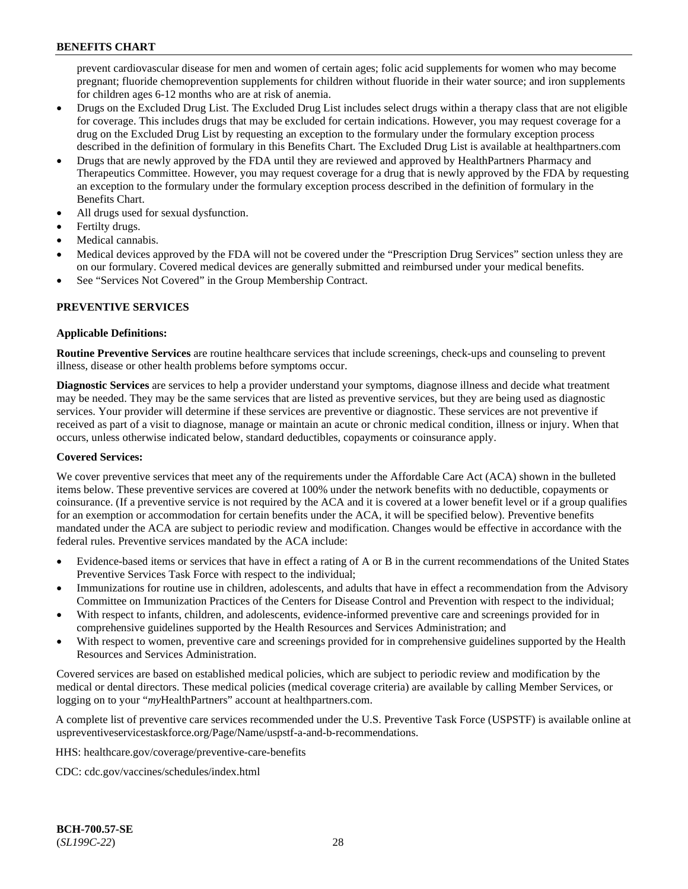prevent cardiovascular disease for men and women of certain ages; folic acid supplements for women who may become pregnant; fluoride chemoprevention supplements for children without fluoride in their water source; and iron supplements for children ages 6-12 months who are at risk of anemia.

- Drugs on the Excluded Drug List. The Excluded Drug List includes select drugs within a therapy class that are not eligible for coverage. This includes drugs that may be excluded for certain indications. However, you may request coverage for a drug on the Excluded Drug List by requesting an exception to the formulary under the formulary exception process described in the definition of formulary in this Benefits Chart. The Excluded Drug List is available at [healthpartners.com](http://www.healthpartners.com/)
- Drugs that are newly approved by the FDA until they are reviewed and approved by HealthPartners Pharmacy and Therapeutics Committee. However, you may request coverage for a drug that is newly approved by the FDA by requesting an exception to the formulary under the formulary exception process described in the definition of formulary in the Benefits Chart.
- All drugs used for sexual dysfunction.
- Fertilty drugs.
- Medical cannabis.
- Medical devices approved by the FDA will not be covered under the "Prescription Drug Services" section unless they are on our formulary. Covered medical devices are generally submitted and reimbursed under your medical benefits.
- See "Services Not Covered" in the Group Membership Contract.

# **PREVENTIVE SERVICES**

### **Applicable Definitions:**

**Routine Preventive Services** are routine healthcare services that include screenings, check-ups and counseling to prevent illness, disease or other health problems before symptoms occur.

**Diagnostic Services** are services to help a provider understand your symptoms, diagnose illness and decide what treatment may be needed. They may be the same services that are listed as preventive services, but they are being used as diagnostic services. Your provider will determine if these services are preventive or diagnostic. These services are not preventive if received as part of a visit to diagnose, manage or maintain an acute or chronic medical condition, illness or injury. When that occurs, unless otherwise indicated below, standard deductibles, copayments or coinsurance apply.

### **Covered Services:**

We cover preventive services that meet any of the requirements under the Affordable Care Act (ACA) shown in the bulleted items below. These preventive services are covered at 100% under the network benefits with no deductible, copayments or coinsurance. (If a preventive service is not required by the ACA and it is covered at a lower benefit level or if a group qualifies for an exemption or accommodation for certain benefits under the ACA, it will be specified below). Preventive benefits mandated under the ACA are subject to periodic review and modification. Changes would be effective in accordance with the federal rules. Preventive services mandated by the ACA include:

- Evidence-based items or services that have in effect a rating of A or B in the current recommendations of the United States Preventive Services Task Force with respect to the individual;
- Immunizations for routine use in children, adolescents, and adults that have in effect a recommendation from the Advisory Committee on Immunization Practices of the Centers for Disease Control and Prevention with respect to the individual;
- With respect to infants, children, and adolescents, evidence-informed preventive care and screenings provided for in comprehensive guidelines supported by the Health Resources and Services Administration; and
- With respect to women, preventive care and screenings provided for in comprehensive guidelines supported by the Health Resources and Services Administration.

Covered services are based on established medical policies, which are subject to periodic review and modification by the medical or dental directors. These medical policies (medical coverage criteria) are available by calling Member Services, or logging on to your "*my*HealthPartners" account at [healthpartners.com.](http://www.healthpartners.com/)

A complete list of preventive care services recommended under the U.S. Preventive Task Force (USPSTF) is available online at [uspreventiveservicestaskforce.org/Page/Name/uspstf-a-and-b-recommendations.](https://www.uspreventiveservicestaskforce.org/Page/Name/uspstf-a-and-b-recommendations-by-date/)

HHS: [healthcare.gov/coverage/preventive-care-benefits](https://www.healthcare.gov/coverage/preventive-care-benefits/)

CDC: [cdc.gov/vaccines/schedules/index.html](https://www.cdc.gov/vaccines/schedules/index.html)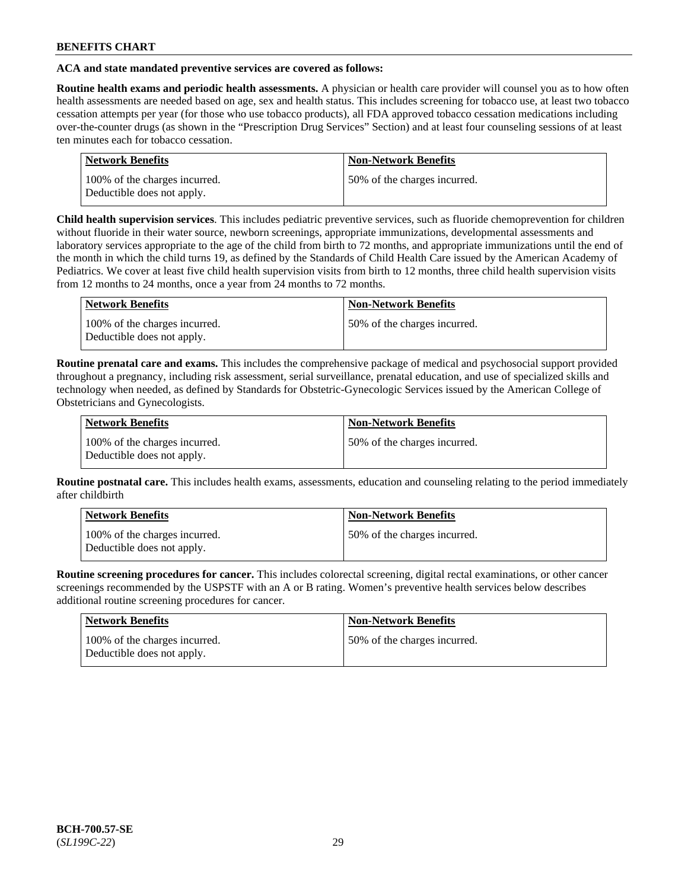### **ACA and state mandated preventive services are covered as follows:**

**Routine health exams and periodic health assessments.** A physician or health care provider will counsel you as to how often health assessments are needed based on age, sex and health status. This includes screening for tobacco use, at least two tobacco cessation attempts per year (for those who use tobacco products), all FDA approved tobacco cessation medications including over-the-counter drugs (as shown in the "Prescription Drug Services" Section) and at least four counseling sessions of at least ten minutes each for tobacco cessation.

| <b>Network Benefits</b>                                     | <b>Non-Network Benefits</b>  |
|-------------------------------------------------------------|------------------------------|
| 100% of the charges incurred.<br>Deductible does not apply. | 50% of the charges incurred. |

**Child health supervision services**. This includes pediatric preventive services, such as fluoride chemoprevention for children without fluoride in their water source, newborn screenings, appropriate immunizations, developmental assessments and laboratory services appropriate to the age of the child from birth to 72 months, and appropriate immunizations until the end of the month in which the child turns 19, as defined by the Standards of Child Health Care issued by the American Academy of Pediatrics. We cover at least five child health supervision visits from birth to 12 months, three child health supervision visits from 12 months to 24 months, once a year from 24 months to 72 months.

| Network Benefits                                            | <b>Non-Network Benefits</b>  |
|-------------------------------------------------------------|------------------------------|
| 100% of the charges incurred.<br>Deductible does not apply. | 50% of the charges incurred. |

**Routine prenatal care and exams.** This includes the comprehensive package of medical and psychosocial support provided throughout a pregnancy, including risk assessment, serial surveillance, prenatal education, and use of specialized skills and technology when needed, as defined by Standards for Obstetric-Gynecologic Services issued by the American College of Obstetricians and Gynecologists.

| Network Benefits                                            | <b>Non-Network Benefits</b>   |
|-------------------------------------------------------------|-------------------------------|
| 100% of the charges incurred.<br>Deductible does not apply. | 150% of the charges incurred. |

**Routine postnatal care.** This includes health exams, assessments, education and counseling relating to the period immediately after childbirth

| Network Benefits                                            | <b>Non-Network Benefits</b>   |
|-------------------------------------------------------------|-------------------------------|
| 100% of the charges incurred.<br>Deductible does not apply. | 150% of the charges incurred. |

**Routine screening procedures for cancer.** This includes colorectal screening, digital rectal examinations, or other cancer screenings recommended by the USPSTF with an A or B rating. Women's preventive health services below describes additional routine screening procedures for cancer.

| <b>Network Benefits</b>                                     | <b>Non-Network Benefits</b>  |
|-------------------------------------------------------------|------------------------------|
| 100% of the charges incurred.<br>Deductible does not apply. | 50% of the charges incurred. |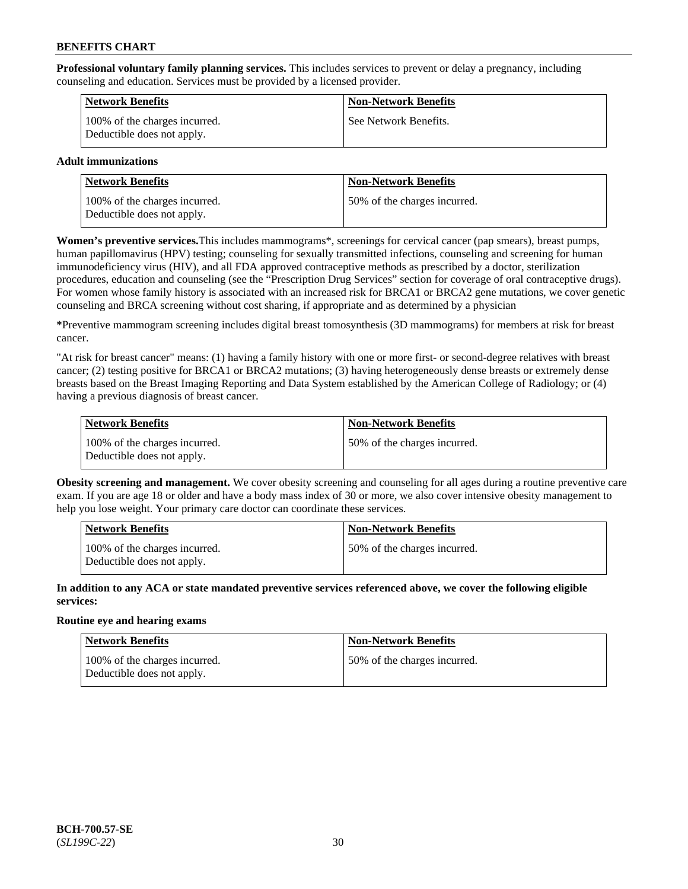**Professional voluntary family planning services.** This includes services to prevent or delay a pregnancy, including counseling and education. Services must be provided by a licensed provider.

| Network Benefits                                            | <b>Non-Network Benefits</b> |
|-------------------------------------------------------------|-----------------------------|
| 100% of the charges incurred.<br>Deductible does not apply. | See Network Benefits.       |

### **Adult immunizations**

| <b>Network Benefits</b>                                     | <b>Non-Network Benefits</b>  |
|-------------------------------------------------------------|------------------------------|
| 100% of the charges incurred.<br>Deductible does not apply. | 50% of the charges incurred. |

**Women's preventive services.**This includes mammograms\*, screenings for cervical cancer (pap smears), breast pumps, human papillomavirus (HPV) testing; counseling for sexually transmitted infections, counseling and screening for human immunodeficiency virus (HIV), and all FDA approved contraceptive methods as prescribed by a doctor, sterilization procedures, education and counseling (see the "Prescription Drug Services" section for coverage of oral contraceptive drugs). For women whose family history is associated with an increased risk for BRCA1 or BRCA2 gene mutations, we cover genetic counseling and BRCA screening without cost sharing, if appropriate and as determined by a physician

**\***Preventive mammogram screening includes digital breast tomosynthesis (3D mammograms) for members at risk for breast cancer.

"At risk for breast cancer" means: (1) having a family history with one or more first- or second-degree relatives with breast cancer; (2) testing positive for BRCA1 or BRCA2 mutations; (3) having heterogeneously dense breasts or extremely dense breasts based on the Breast Imaging Reporting and Data System established by the American College of Radiology; or (4) having a previous diagnosis of breast cancer.

| Network Benefits                                            | <b>Non-Network Benefits</b>  |
|-------------------------------------------------------------|------------------------------|
| 100% of the charges incurred.<br>Deductible does not apply. | 50% of the charges incurred. |

**Obesity screening and management.** We cover obesity screening and counseling for all ages during a routine preventive care exam. If you are age 18 or older and have a body mass index of 30 or more, we also cover intensive obesity management to help you lose weight. Your primary care doctor can coordinate these services.

| Network Benefits                                            | <b>Non-Network Benefits</b>  |
|-------------------------------------------------------------|------------------------------|
| 100% of the charges incurred.<br>Deductible does not apply. | 50% of the charges incurred. |

**In addition to any ACA or state mandated preventive services referenced above, we cover the following eligible services:**

### **Routine eye and hearing exams**

| <b>Network Benefits</b>                                     | <b>Non-Network Benefits</b>  |
|-------------------------------------------------------------|------------------------------|
| 100% of the charges incurred.<br>Deductible does not apply. | 50% of the charges incurred. |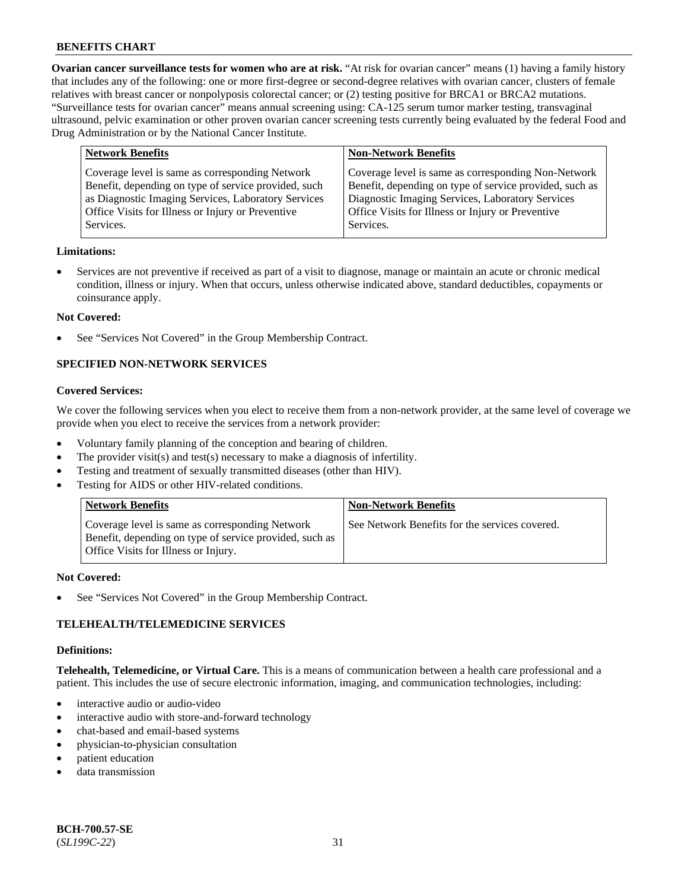**Ovarian cancer surveillance tests for women who are at risk.** "At risk for ovarian cancer" means (1) having a family history that includes any of the following: one or more first-degree or second-degree relatives with ovarian cancer, clusters of female relatives with breast cancer or nonpolyposis colorectal cancer; or (2) testing positive for BRCA1 or BRCA2 mutations. "Surveillance tests for ovarian cancer" means annual screening using: CA-125 serum tumor marker testing, transvaginal ultrasound, pelvic examination or other proven ovarian cancer screening tests currently being evaluated by the federal Food and Drug Administration or by the National Cancer Institute.

| <b>Network Benefits</b>                                                                                                                                                                                                          | <b>Non-Network Benefits</b>                                                                                                                                                                                                          |
|----------------------------------------------------------------------------------------------------------------------------------------------------------------------------------------------------------------------------------|--------------------------------------------------------------------------------------------------------------------------------------------------------------------------------------------------------------------------------------|
| Coverage level is same as corresponding Network<br>Benefit, depending on type of service provided, such<br>as Diagnostic Imaging Services, Laboratory Services<br>Office Visits for Illness or Injury or Preventive<br>Services. | Coverage level is same as corresponding Non-Network<br>Benefit, depending on type of service provided, such as<br>Diagnostic Imaging Services, Laboratory Services<br>Office Visits for Illness or Injury or Preventive<br>Services. |
|                                                                                                                                                                                                                                  |                                                                                                                                                                                                                                      |

### **Limitations:**

• Services are not preventive if received as part of a visit to diagnose, manage or maintain an acute or chronic medical condition, illness or injury. When that occurs, unless otherwise indicated above, standard deductibles, copayments or coinsurance apply.

### **Not Covered:**

See "Services Not Covered" in the Group Membership Contract.

# **SPECIFIED NON-NETWORK SERVICES**

#### **Covered Services:**

We cover the following services when you elect to receive them from a non-network provider, at the same level of coverage we provide when you elect to receive the services from a network provider:

- Voluntary family planning of the conception and bearing of children.
- The provider visit(s) and test(s) necessary to make a diagnosis of infertility.
- Testing and treatment of sexually transmitted diseases (other than HIV).
- Testing for AIDS or other HIV-related conditions.

| <b>Network Benefits</b>                                                                                                                            | <b>Non-Network Benefits</b>                    |
|----------------------------------------------------------------------------------------------------------------------------------------------------|------------------------------------------------|
| Coverage level is same as corresponding Network<br>Benefit, depending on type of service provided, such as<br>Office Visits for Illness or Injury. | See Network Benefits for the services covered. |

#### **Not Covered:**

See "Services Not Covered" in the Group Membership Contract.

### **TELEHEALTH/TELEMEDICINE SERVICES**

#### **Definitions:**

**Telehealth, Telemedicine, or Virtual Care.** This is a means of communication between a health care professional and a patient. This includes the use of secure electronic information, imaging, and communication technologies, including:

- interactive audio or audio-video
- interactive audio with store-and-forward technology
- chat-based and email-based systems
- physician-to-physician consultation
- patient education
- data transmission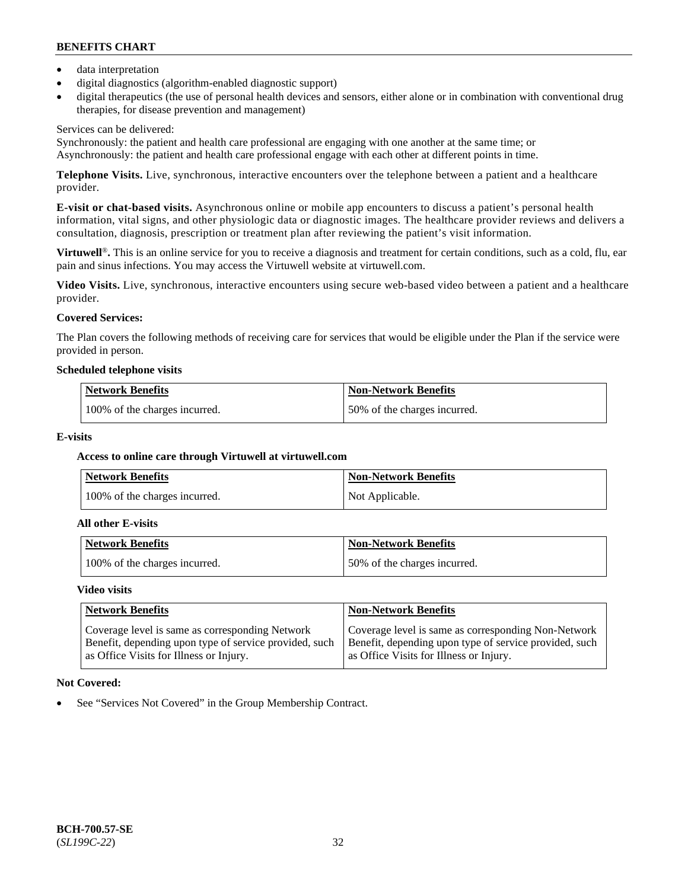- data interpretation
- digital diagnostics (algorithm-enabled diagnostic support)
- digital therapeutics (the use of personal health devices and sensors, either alone or in combination with conventional drug therapies, for disease prevention and management)

### Services can be delivered:

Synchronously: the patient and health care professional are engaging with one another at the same time; or Asynchronously: the patient and health care professional engage with each other at different points in time.

**Telephone Visits.** Live, synchronous, interactive encounters over the telephone between a patient and a healthcare provider.

**E-visit or chat-based visits.** Asynchronous online or mobile app encounters to discuss a patient's personal health information, vital signs, and other physiologic data or diagnostic images. The healthcare provider reviews and delivers a consultation, diagnosis, prescription or treatment plan after reviewing the patient's visit information.

**Virtuwell<sup>®</sup>**. This is an online service for you to receive a diagnosis and treatment for certain conditions, such as a cold, flu, ear pain and sinus infections. You may access the Virtuwell website at [virtuwell.com.](https://www.virtuwell.com/)

**Video Visits.** Live, synchronous, interactive encounters using secure web-based video between a patient and a healthcare provider.

# **Covered Services:**

The Plan covers the following methods of receiving care for services that would be eligible under the Plan if the service were provided in person.

### **Scheduled telephone visits**

| <b>Network Benefits</b>       | <b>Non-Network Benefits</b>  |
|-------------------------------|------------------------------|
| 100% of the charges incurred. | 50% of the charges incurred. |

### **E-visits**

### **Access to online care through Virtuwell at [virtuwell.com](https://www.virtuwell.com/)**

| <b>Network Benefits</b>       | <b>Non-Network Benefits</b> |
|-------------------------------|-----------------------------|
| 100% of the charges incurred. | Not Applicable.             |

#### **All other E-visits**

| Network Benefits              | <b>Non-Network Benefits</b>  |
|-------------------------------|------------------------------|
| 100% of the charges incurred. | 50% of the charges incurred. |

#### **Video visits**

| <b>Network Benefits</b>                                                                                                                              | <b>Non-Network Benefits</b>                                                                                                                              |
|------------------------------------------------------------------------------------------------------------------------------------------------------|----------------------------------------------------------------------------------------------------------------------------------------------------------|
| Coverage level is same as corresponding Network<br>Benefit, depending upon type of service provided, such<br>as Office Visits for Illness or Injury. | Coverage level is same as corresponding Non-Network<br>Benefit, depending upon type of service provided, such<br>as Office Visits for Illness or Injury. |

### **Not Covered:**

See "Services Not Covered" in the Group Membership Contract.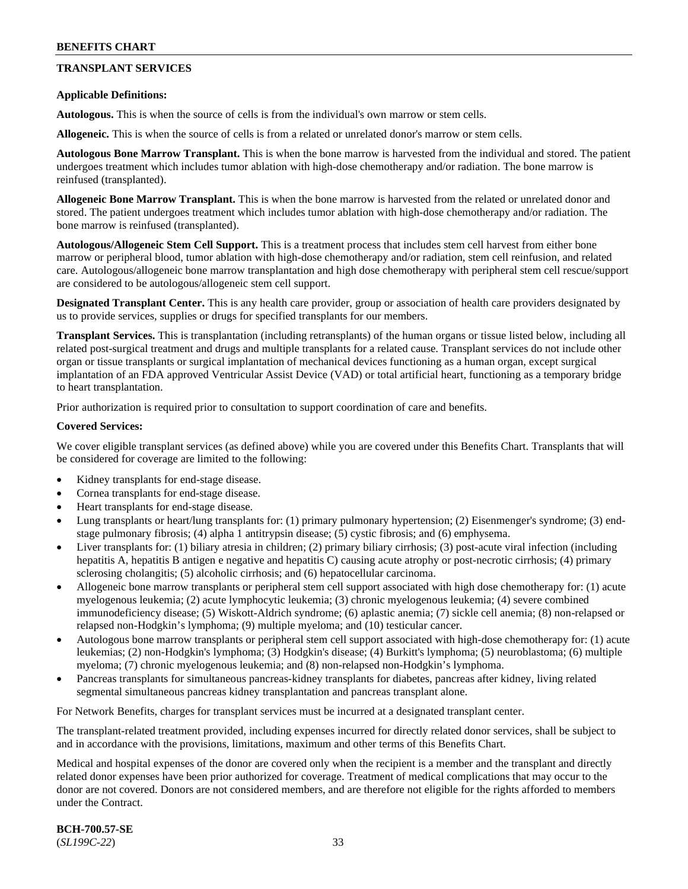# **TRANSPLANT SERVICES**

### **Applicable Definitions:**

**Autologous.** This is when the source of cells is from the individual's own marrow or stem cells.

**Allogeneic.** This is when the source of cells is from a related or unrelated donor's marrow or stem cells.

**Autologous Bone Marrow Transplant.** This is when the bone marrow is harvested from the individual and stored. The patient undergoes treatment which includes tumor ablation with high-dose chemotherapy and/or radiation. The bone marrow is reinfused (transplanted).

**Allogeneic Bone Marrow Transplant.** This is when the bone marrow is harvested from the related or unrelated donor and stored. The patient undergoes treatment which includes tumor ablation with high-dose chemotherapy and/or radiation. The bone marrow is reinfused (transplanted).

**Autologous/Allogeneic Stem Cell Support.** This is a treatment process that includes stem cell harvest from either bone marrow or peripheral blood, tumor ablation with high-dose chemotherapy and/or radiation, stem cell reinfusion, and related care. Autologous/allogeneic bone marrow transplantation and high dose chemotherapy with peripheral stem cell rescue/support are considered to be autologous/allogeneic stem cell support.

**Designated Transplant Center.** This is any health care provider, group or association of health care providers designated by us to provide services, supplies or drugs for specified transplants for our members.

**Transplant Services.** This is transplantation (including retransplants) of the human organs or tissue listed below, including all related post-surgical treatment and drugs and multiple transplants for a related cause. Transplant services do not include other organ or tissue transplants or surgical implantation of mechanical devices functioning as a human organ, except surgical implantation of an FDA approved Ventricular Assist Device (VAD) or total artificial heart, functioning as a temporary bridge to heart transplantation.

Prior authorization is required prior to consultation to support coordination of care and benefits.

### **Covered Services:**

We cover eligible transplant services (as defined above) while you are covered under this Benefits Chart. Transplants that will be considered for coverage are limited to the following:

- Kidney transplants for end-stage disease.
- Cornea transplants for end-stage disease.
- Heart transplants for end-stage disease.
- Lung transplants or heart/lung transplants for: (1) primary pulmonary hypertension; (2) Eisenmenger's syndrome; (3) endstage pulmonary fibrosis; (4) alpha 1 antitrypsin disease; (5) cystic fibrosis; and (6) emphysema.
- Liver transplants for: (1) biliary atresia in children; (2) primary biliary cirrhosis; (3) post-acute viral infection (including hepatitis A, hepatitis B antigen e negative and hepatitis C) causing acute atrophy or post-necrotic cirrhosis; (4) primary sclerosing cholangitis; (5) alcoholic cirrhosis; and (6) hepatocellular carcinoma.
- Allogeneic bone marrow transplants or peripheral stem cell support associated with high dose chemotherapy for: (1) acute myelogenous leukemia; (2) acute lymphocytic leukemia; (3) chronic myelogenous leukemia; (4) severe combined immunodeficiency disease; (5) Wiskott-Aldrich syndrome; (6) aplastic anemia; (7) sickle cell anemia; (8) non-relapsed or relapsed non-Hodgkin's lymphoma; (9) multiple myeloma; and (10) testicular cancer.
- Autologous bone marrow transplants or peripheral stem cell support associated with high-dose chemotherapy for: (1) acute leukemias; (2) non-Hodgkin's lymphoma; (3) Hodgkin's disease; (4) Burkitt's lymphoma; (5) neuroblastoma; (6) multiple myeloma; (7) chronic myelogenous leukemia; and (8) non-relapsed non-Hodgkin's lymphoma.
- Pancreas transplants for simultaneous pancreas-kidney transplants for diabetes, pancreas after kidney, living related segmental simultaneous pancreas kidney transplantation and pancreas transplant alone.

For Network Benefits, charges for transplant services must be incurred at a designated transplant center.

The transplant-related treatment provided, including expenses incurred for directly related donor services, shall be subject to and in accordance with the provisions, limitations, maximum and other terms of this Benefits Chart.

Medical and hospital expenses of the donor are covered only when the recipient is a member and the transplant and directly related donor expenses have been prior authorized for coverage. Treatment of medical complications that may occur to the donor are not covered. Donors are not considered members, and are therefore not eligible for the rights afforded to members under the Contract.